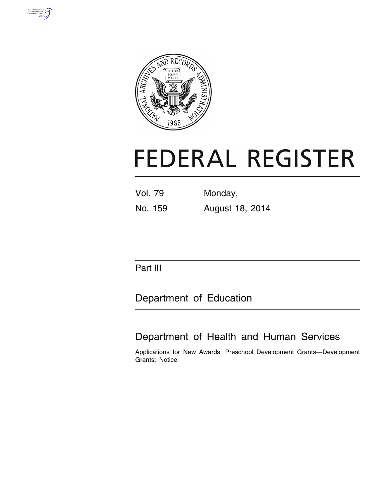



# **FEDERAL REGISTER**

| Vol. 79 |  | Monday, |  |
|---------|--|---------|--|
|         |  |         |  |

No. 159 August 18, 2014

Part III

Department of Education

Department of Health and Human Services

Applications for New Awards; Preschool Development Grants—Development Grants; Notice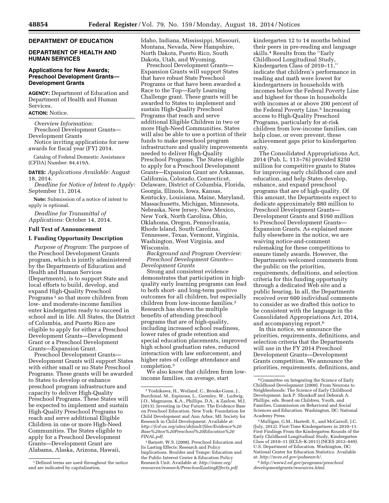# **DEPARTMENT OF EDUCATION**

# **DEPARTMENT OF HEALTH AND HUMAN SERVICES**

# **Applications for New Awards; Preschool Development Grants— Development Grants**

**AGENCY:** Department of Education and Department of Health and Human Services.

# **ACTION:** Notice.

*Overview Information:*  Preschool Development Grants— Development Grants

Notice inviting applications for new awards for fiscal year (FY) 2014.

Catalog of Federal Domestic Assistance (CFDA) Number: 84.419A.

**DATES:** *Applications Available:* August 18, 2014.

*Deadline for Notice of Intent to Apply:*  September 11, 2014.

**Note:** Submission of a notice of intent to apply is optional.

*Deadline for Transmittal of Applications:* October 14, 2014.

# **Full Text of Announcement**

## **I. Funding Opportunity Description**

*Purpose of Program:* The purpose of the Preschool Development Grants program, which is jointly administered by the Departments of Education and Health and Human Services (Departments), is to support State and local efforts to build, develop, and expand High-Quality Preschool Programs<sup>1</sup> so that more children from low- and moderate-income families enter kindergarten ready to succeed in school and in life. All States, the District of Columbia, and Puerto Rico are eligible to apply for either a Preschool Development Grants—Development Grant or a Preschool Development Grants—Expansion Grant.

Preschool Development Grants— Development Grants will support States with either small or no State Preschool Programs. These grants will be awarded to States to develop or enhance preschool program infrastructure and capacity to deliver High-Quality Preschool Programs. These States will be expected to implement and sustain High-Quality Preschool Programs to reach and serve additional Eligible Children in one or more High-Need Communities. The States eligible to apply for a Preschool Development Grants—Development Grant are Alabama, Alaska, Arizona, Hawaii,

1 Defined terms are used throughout the notice and are indicated by capitalization.

Idaho, Indiana, Mississippi, Missouri, Montana, Nevada, New Hampshire, North Dakota, Puerto Rico, South Dakota, Utah, and Wyoming.

Preschool Development Grants— Expansion Grants will support States that have robust State Preschool Programs or that have been awarded a Race to the Top—Early Learning Challenge grant. These grants will be awarded to States to implement and sustain High-Quality Preschool Programs that reach and serve additional Eligible Children in two or more High-Need Communities. States will also be able to use a portion of their funds to make preschool program infrastructure and quality improvements needed to deliver High-Quality Preschool Programs. The States eligible to apply for a Preschool Development Grants—Expansion Grant are Arkansas, California, Colorado, Connecticut, Delaware, District of Columbia, Florida, Georgia, Illinois, Iowa, Kansas, Kentucky, Louisiana, Maine, Maryland, Massachusetts, Michigan, Minnesota, Nebraska, New Jersey, New Mexico, New York, North Carolina, Ohio, Oklahoma, Oregon, Pennsylvania, Rhode Island, South Carolina, Tennessee, Texas, Vermont, Virginia, Washington, West Virginia, and Wisconsin.

*Background and Program Overview: Preschool Development Grants— Development Grants* 

Strong and consistent evidence demonstrates that participation in highquality early learning programs can lead to both short- and long-term positive outcomes for all children, but especially children from low-income families.2 Research has shown the multiple benefits of attending preschool programs that are of high-quality, including increased school readiness, lower rates of grade retention and special education placements, improved high school graduation rates, reduced interaction with law enforcement, and higher rates of college attendance and completion.3

We also know that children from lowincome families, on average, start

kindergarten 12 to 14 months behind their peers in pre-reading and language skills.4 Results from the ''Early Childhood Longitudinal Study, Kindergarten Class of 2010-11," indicate that children's performance in reading and math were lowest for kindergartners in households with incomes below the Federal Poverty Line and highest for those in households with incomes at or above 200 percent of the Federal Poverty Line.<sup>5</sup> Increasing access to High-Quality Preschool Programs, particularly for at-risk children from low-income families, can help close, or even prevent, these achievement gaps prior to kindergarten entry.

The Consolidated Appropriations Act, 2014 (Pub. L. 113–76) provided \$250 million for competitive grants to States for improving early childhood care and education, and help States develop, enhance, and expand preschool programs that are of high-quality. Of this amount, the Departments expect to dedicate approximately \$80 million to Preschool Development Grants— Development Grants and \$160 million to Preschool Development Grants— Expansion Grants. As explained more fully elsewhere in the notice, we are waiving notice-and-comment rulemaking for these competitions to ensure timely awards. However, the Departments welcomed comments from the public on the priorities, requirements, definitions, and selection criteria for this funding opportunity through a dedicated Web site and a public hearing. In all, the Departments received over 600 individual comments to consider as we drafted this notice to be consistent with the language in the Consolidated Appropriations Act, 2014, and accompanying report.6

In this notice, we announce the priorities, requirements, definitions, and selection criteria that the Departments will use in the FY 2014 Preschool Development Grants—Development Grants competition. We announce the priorities, requirements, definitions, and

5Mulligan, G.M., Hastedt, S., and McCarroll, J.C. (July, 2012). First-Time Kindergartners in 2010–11: First Findings From the Kindergarten Rounds of the Early Childhood Longitudinal Study, Kindergarten Class of 2010–11 (ECLS–K:2011) (NCES 2012–049). U.S. Department of Education. Washington, DC: National Center for Education Statistics. Available at: *[http://nces.ed.gov/pubsearch/.](http://nces.ed.gov/pubsearch/)* 

6*[http://www2.ed.gov/programs/preschool](http://www2.ed.gov/programs/preschooldevelopmentgrants/resources.html) [developmentgrants/resources.html](http://www2.ed.gov/programs/preschooldevelopmentgrants/resources.html)*.

<sup>2</sup> Yoshikawa, H., Weiland, C., Brooks-Gunn, J., Burchinal, M., Espinosa, L., Gormley, W., Ludwig, J.O., Magnuson, K.A., Phillips, D.A., & Zaslow, M.J. (2013). Investing in Our Future: The Evidence Base on Preschool Education. New York: Foundation for Child Development and Ann Arbor, MI: Society for Research in Child Development. Available at: *[http://fcd-us.org/sites/default/files/Evidence%20](http://fcd-us.org/sites/default/files/Evidence%20Base%20on%20Preschool%20Education%20FINAL.pdf) [Base%20on%20Preschool%20Education%20](http://fcd-us.org/sites/default/files/Evidence%20Base%20on%20Preschool%20Education%20FINAL.pdf) [FINAL.pdf.](http://fcd-us.org/sites/default/files/Evidence%20Base%20on%20Preschool%20Education%20FINAL.pdf)* 

<sup>3</sup>Barnett, W.S. (2008). Preschool Education and Its Lasting Effects: Research and Policy Implications. Boulder and Tempe: Education and the Public Interest Center & Education Policy Research Unit. Available at: *[http://nieer.org/](http://nieer.org/resources/research/PreschoolLastingEffects.pdf) [resources/research/PreschoolLastingEffects.pdf.](http://nieer.org/resources/research/PreschoolLastingEffects.pdf)* 

<sup>4</sup>Committee on Integrating the Science of Early Childhood Development (2000). From Neurons to Neighborhoods: The Science of Early Childhood Development. Jack P. Shonkoff and Deborah A. Phillips, eds. Board on Children, Youth, and Families, Commission on Behavioral and Social Sciences and Education. Washington, DC: National Academy Press.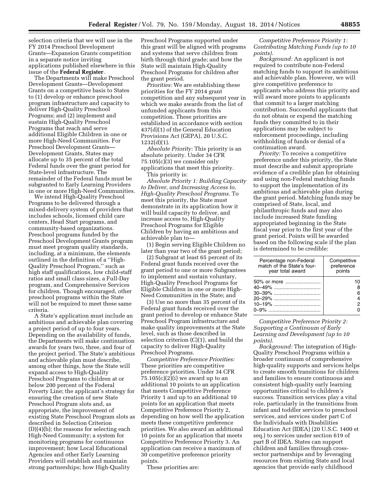selection criteria that we will use in the FY 2014 Preschool Development Grants—Expansion Grants competition in a separate notice inviting applications published elsewhere in this issue of the **Federal Register**.

The Departments will make Preschool Development Grants—Development Grants on a competitive basis to States to (1) develop or enhance preschool program infrastructure and capacity to deliver High-Quality Preschool Programs; and (2) implement and sustain High-Quality Preschool Programs that reach and serve additional Eligible Children in one or more High-Need Communities. For Preschool Development Grants— Development Grants, States may allocate up to 35 percent of the total Federal funds over the grant period for State-level infrastructure. The remainder of the Federal funds must be subgranted to Early Learning Providers in one or more High-Need Communities.

We intend High-Quality Preschool Programs to be delivered through a mixed-delivery system of providers that includes schools, licensed child care centers, Head Start programs, and community-based organizations. Preschool programs funded by the Preschool Development Grants program must meet program quality standards, including, at a minimum, the elements outlined in the definition of a ''High-Quality Preschool Program,'' such as high staff qualifications, low child-staff ratios and small class sizes, a Full-Day program, and Comprehensive Services for children. Though encouraged, other preschool programs within the State will not be required to meet these same criteria.

A State's application must include an ambitious and achievable plan covering a project period of up to four years. Depending on the availability of funds, the Departments will make continuation awards for years two, three, and four of the project period. The State's ambitious and achievable plan must describe, among other things, how the State will expand access to High-Quality Preschool Programs to children at or below 200 percent of the Federal Poverty Line; the applicant's strategy for ensuring the creation of new State Preschool Program slots and, as appropriate, the improvement of existing State Preschool Program slots as described in Selection Criterion (D)(4)(b); the reasons for selecting each High-Need Community; a system for monitoring programs for continuous improvement; how Local Educational Agencies and other Early Learning Providers will establish and maintain strong partnerships; how High-Quality

Preschool Programs supported under this grant will be aligned with programs and systems that serve children from birth through third grade; and how the State will maintain High-Quality Preschool Programs for children after the grant period.

*Priorities:* We are establishing these priorities for the FY 2014 grant competition and any subsequent year in which we make awards from the list of unfunded applicants from this competition. These priorities are established in accordance with section 437(d)(1) of the General Education Provisions Act (GEPA), 20 U.S.C. 1232(d)(1).

*Absolute Priority:* This priority is an absolute priority. Under 34 CFR 75.105(c)(3) we consider only applications that meet this priority. This priority is:

*Absolute Priority 1: Building Capacity to Deliver, and Increasing Access to, High-Quality Preschool Programs.* To meet this priority, the State must demonstrate in its application how it will build capacity to deliver, and increase access to, High-Quality Preschool Programs for Eligible Children by having an ambitious and achievable plan to—

(1) Begin serving Eligible Children no later than year two of the grant period;

(2) Subgrant at least 65 percent of its Federal grant funds received over the grant period to one or more Subgrantees to implement and sustain voluntary, High-Quality Preschool Programs for Eligible Children in one or more High-Need Communities in the State; and

(3) Use no more than 35 percent of its Federal grant funds received over the grant period to develop or enhance State Preschool Program infrastructure and make quality improvements at the State level, such as those described in selection criterion (C)(1), and build the capacity to deliver High-Quality Preschool Programs.

*Competitive Preference Priorities:*  These priorities are competitive preference priorities. Under 34 CFR  $75.105(c)(2)(i)$  we award up to an additional 10 points to an application that meets Competitive Preference Priority 1 and up to an additional 10 points for an application that meets Competitive Preference Priority 2, depending on how well the application meets these competitive preference priorities. We also award an additional 10 points for an application that meets Competitive Preference Priority 3. An application can receive a maximum of 30 competitive preference priority points.

These priorities are:

*Competitive Preference Priority 1: Contributing Matching Funds (up to 10 points)*.

*Background:* An applicant is not required to contribute non-Federal matching funds to support its ambitious and achievable plan. However, we will give competitive preference to applicants who address this priority and will award more points to applicants that commit to a larger matching contribution. Successful applicants that do not obtain or expend the matching funds they committed to in their applications may be subject to enforcement proceedings, including withholding of funds or denial of a continuation award.

*Priority:* To receive a competitive preference under this priority, the State must describe and submit appropriate evidence of a credible plan for obtaining and using non-Federal matching funds to support the implementation of its ambitious and achievable plan during the grant period. Matching funds may be comprised of State, local, and philanthropic funds and may also include increased State funding appropriated beginning in the State fiscal year prior to the first year of the grant period. Points will be awarded based on the following scale if the plan is determined to be credible:

| Percentage non-Federal<br>match of the State's four-<br>year total award   | Competitive<br>preference<br>points |
|----------------------------------------------------------------------------|-------------------------------------|
| 50% or more<br>40–49% …………………………<br>30–39% ……………………………<br>20–29%<br>10–19% | 6                                   |
|                                                                            |                                     |

*Competitive Preference Priority 2: Supporting a Continuum of Early Learning and Development (up to 10 points)*.

*Background:* The integration of High-Quality Preschool Programs within a broader continuum of comprehensive high-quality supports and services helps to create smooth transitions for children and families to ensure continuous and consistent high-quality early learning opportunities critical to children's success. Transition services play a vital role, particularly in the transitions from infant and toddler services to preschool services, and services under part C of the Individuals with Disabilities Education Act (IDEA) (20 U.S.C. 1400 et seq.) to services under section 619 of part B of IDEA. States can support children and families through crosssector partnerships and by leveraging resources from existing State and local agencies that provide early childhood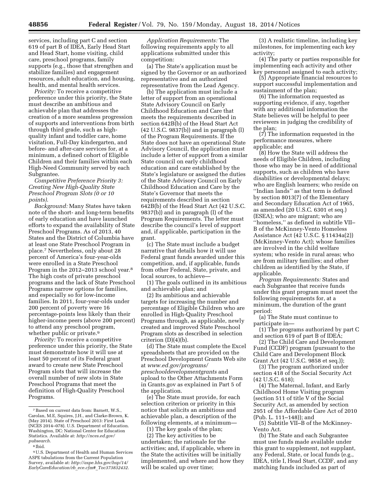services, including part C and section 619 of part B of IDEA, Early Head Start and Head Start, home visiting, child care, preschool programs, family supports (e.g., those that strengthen and stabilize families) and engagement resources, adult education, and housing, health, and mental health services.

*Priority:* To receive a competitive preference under this priority, the State must describe an ambitious and achievable plan that addresses the creation of a more seamless progression of supports and interventions from birth through third grade, such as highquality infant and toddler care, home visitation, Full-Day kindergarten, and before- and after-care services for, at a minimum, a defined cohort of Eligible Children and their families within each High-Need Community served by each Subgrantee.

*Competitive Preference Priority 3: Creating New High-Quality State Preschool Program Slots (0 or 10 points)*.

*Background:* Many States have taken note of the short- and long-term benefits of early education and have launched efforts to expand the availability of State Preschool Programs. As of 2013, 40 States and the District of Columbia have at least one State Preschool Program in place.7 Nevertheless, only about 28 percent of America's four-year-olds were enrolled in a State Preschool Program in the 2012–2013 school year.8 The high costs of private preschool programs and the lack of State Preschool Programs narrow options for families, and especially so for low-income families. In 2011, four-year-olds under 200 percent of poverty were 16 percentage-points less likely than their higher-income peers (above 200 percent) to attend any preschool program, whether public or private.<sup>9</sup>

*Priority:* To receive a competitive preference under this priority, the State must demonstrate how it will use at least 50 percent of its Federal grant award to create new State Preschool Program slots that will increase the overall number of new slots in State Preschool Programs that meet the definition of High-Quality Preschool Programs.

8 Ibid.

*Application Requirements:* The following requirements apply to all applications submitted under this competition:

(a) The State's application must be signed by the Governor or an authorized representative and an authorized representative from the Lead Agency.

(b) The application must include a letter of support from an operational State Advisory Council on Early Childhood Education and Care that meets the requirements described in section 642B(b) of the Head Start Act (42 U.S.C. 9837(b)) and in paragraph (l) of the Program Requirements. If the State does not have an operational State Advisory Council, the application must include a letter of support from a similar State council on early childhood education and care established by the State's legislature or assigned the duties of the State Advisory Council on Early Childhood Education and Care by the State's Governor that meets the requirements described in section 642B(b) of the Head Start Act (42 U.S.C. 9837(b)) and in paragraph (l) of the Program Requirements. The letter must describe the council's level of support and, if applicable, participation in the grant.

(c) The State must include a budget narrative that details how it will use Federal grant funds awarded under this competition, and, if applicable, funds from other Federal, State, private, and local sources, to achieve—

(1) The goals outlined in its ambitious and achievable plan; and

(2) Its ambitious and achievable targets for increasing the number and percentage of Eligible Children who are enrolled in High-Quality Preschool Programs through, as applicable, newly created and improved State Preschool Program slots as described in selection criterion (D)(4)(b).

(d) The State must complete the Excel spreadsheets that are provided on the Preschool Development Grants Web site at *[www.ed.gov/programs/](http://www.ed.gov/programs/preschooldevelopmentgrants) [preschooldevelopmentgrants](http://www.ed.gov/programs/preschooldevelopmentgrants)* and upload to the Other Attachments Form in Grants.gov as explained in Part 5 of the application.

(e) The State must provide, for each selection criterion or priority in this notice that solicits an ambitious and achievable plan, a description of the following elements, at a minimum—

(1) The key goals of the plan;

(2) The key activities to be undertaken; the rationale for the activities; and, if applicable, where in the State the activities will be initially implemented, and where and how they will be scaled up over time;

(3) A realistic timeline, including key milestones, for implementing each key activity;

(4) The party or parties responsible for implementing each activity and other key personnel assigned to each activity;

(5) Appropriate financial resources to support successful implementation and sustainment of the plan;

(6) The information requested as supporting evidence, if any, together with any additional information the State believes will be helpful to peer reviewers in judging the credibility of the plan;

(7) The information requested in the performance measures, where applicable; and

(8) How the State will address the needs of Eligible Children, including those who may be in need of additional supports, such as children who have disabilities or developmental delays; who are English learners; who reside on ''Indian lands'' as that term is defined by section 8013(7) of the Elementary and Secondary Education Act of 1965, as amended (20 U.S.C. 6301 et seq.) (ESEA); who are migrant; who are ''homeless,'' as defined in subtitle VII– B of the McKinney-Vento Homeless Assistance Act (42 U.S.C. § 11434a(2)) (McKinney-Vento Act); whose families are involved in the child welfare system; who reside in rural areas; who are from military families; and other children as identified by the State, if applicable.

*Program Requirements:* States and each Subgrantee that receive funds under this grant program must meet the following requirements for, at a minimum, the duration of the grant period:

(a) The State must continue to participate in—

(1) The programs authorized by part C and section 619 of part B of IDEA;

(2) The Child Care and Development Fund (CCDF) program (pursuant to the Child Care and Development Block Grant Act (42 U.S.C. 9858 et seq.));

(3) The program authorized under section 418 of the Social Security Act (42 U.S.C. 618);

(4) The Maternal, Infant, and Early Childhood Home Visiting program (section 511 of title V of the Social Security Act, as amended by section 2951 of the Affordable Care Act of 2010 (Pub. L. 111–148)); and

(5) Subtitle VII–B of the McKinney-Vento Act.

(b) The State and each Subgrantee must use funds made available under this grant to supplement, not supplant, any Federal, State, or local funds (e.g., IDEA, title I, Head Start, CCDF, and any matching funds included as part of

<sup>7</sup>Based on current data from: Barnett, W.S., Carolan, M.E, Squires, J.H., and Clarke-Brown, K. (May 2014). State of Preschool 2013: First Look (NCES 2014–078). U.S. Department of Education. Washington, DC: National Center for Education Statistics. Available at: *[http://nces.ed.gov/](http://nces.ed.gov/pubsearch) [pubsearch.](http://nces.ed.gov/pubsearch)* 

<sup>9</sup>U.S. Department of Health and Human Services ASPE tabulations from the Current Population Survey, available at: *[http://aspe.hhs.gov/hsp/14/](http://aspe.hhs.gov/hsp/14/EarlyCareEducation/rb_ece.cfm#_Toc373832432) [EarlyCareEducation/rb](http://aspe.hhs.gov/hsp/14/EarlyCareEducation/rb_ece.cfm#_Toc373832432)*\_*ece.cfm#*\_*Toc373832432*.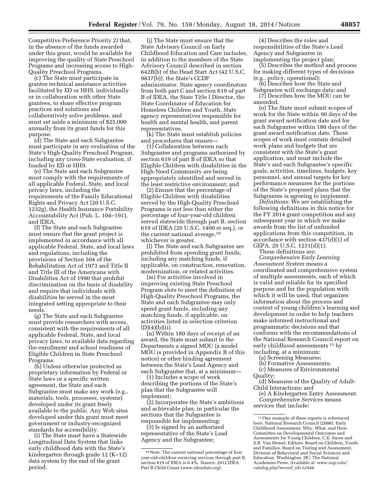Competitive Preference Priority 2) that, in the absence of the funds awarded under this grant, would be available for improving the quality of State Preschool Programs and increasing access to High-Quality Preschool Programs.

(c) The State must participate in grantee technical assistance activities facilitated by ED or HHS, individually or in collaboration with other State grantees, to share effective program practices and solutions and collaboratively solve problems, and must set aside a minimum of \$25,000 annually from its grant funds for this purpose.

(d) The State and each Subgrantee must participate in any evaluation of the State's High-Quality Preschool Program, including any cross-State evaluation, if funded by ED or HHS.

(e) The State and each Subgrantee must comply with the requirements of all applicable Federal, State, and local privacy laws, including the requirements of the Family Educational Rights and Privacy Act (20 U.S.C. 1232g), the Health Insurance Portability Accountability Act (Pub. L. 104–191), and IDEA.

(f) The State and each Subgrantee must ensure that the grant project is implemented in accordance with all applicable Federal, State, and local laws and regulations, including the provisions of Section 504 of the Rehabilitation Act of 1973 and Title II and Title III of the Americans with Disabilities Act of 1990 that prohibit discrimination on the basis of disability and require that individuals with disabilities be served in the most integrated setting appropriate to their needs.

(g) The State and each Subgrantee must provide researchers with access, consistent with the requirements of all applicable Federal, State, and local privacy laws, to available data regarding the enrollment and school readiness of Eligible Children in State Preschool Programs.

(h) Unless otherwise protected as proprietary information by Federal or State laws or a specific written agreement, the State and each Subgrantee must make any work (e.g., materials, tools, processes, systems) developed under its grant freely available to the public. Any Web sites developed under this grant must meet government or industry-recognized standards for accessibility.

(i) The State must have a Statewide Longitudinal Data System that links early childhood data with the State's kindergarten through grade 12 (K–12) data system by the end of the grant period.

(j) The State must ensure that the State Advisory Council on Early Childhood Education and Care includes, in addition to the members of the State Advisory Council described in section 642B(b) of the Head Start Act (42 U.S.C. 9837(b)), the State's CCDF administrator, State agency coordinators from both part C and section 619 of part B of IDEA, the State Title I Director, the State Coordinator of Education for Homeless Children and Youth, State agency representatives responsible for health and mental health, and parent representatives.

(k) The State must establish policies and procedures that ensure—

(1) Collaboration between each Subgrantee and programs authorized by section 619 of part B of IDEA so that Eligible Children with disabilities in the High-Need Community are being appropriately identified and served in the least restrictive environment; and

(2) Ensure that the percentage of Eligible Children with disabilities served by the High-Quality Preschool Programs is not less than either the percentage of four-year-old children served statewide through part B, section 619 of IDEA (20 U.S.C. 1400 et seq.), or the current national average,<sup>10</sup> whichever is greater.

(l) The State and each Subgrantee are prohibited from spending grant funds, including any matching funds, if applicable, on construction, renovation, modernization, or related activities.

(m) For activities involved in improving existing State Preschool Program slots to meet the definition of High-Quality Preschool Programs, the State and each Subgrantee may only spend grant funds, including any matching funds, if applicable, on activities listed in selection criterion  $(D)(4)(b)(ii)$ .

(n) Within 180 days of receipt of an award, the State must submit to the Departments a signed MOU (a model MOU is provided in Appendix B of this notice) or other binding agreement between the State's Lead Agency and each Subgrantee that, at a minimum—

(1) Includes a scope of work describing the portions of the State's plan that the Subgrantee will implement;

(2) Incorporates the State's ambitious and achievable plan, in particular the sections that the Subgrantee is responsible for implementing;

(3) Is signed by an authorized representative of the State's Lead Agency and the Subgrantee;

(4) Describes the roles and responsibilities of the State's Lead Agency and Subgrantee in implementing the project plan;

(5) Describes the method and process for making different types of decisions (e.g., policy, operational);

(6) Describes how the State and Subgrantee will exchange data; and

(7) Describes how the MOU can be amended.

(o) The State must submit scopes of work for the State within 90 days of the grant award notification date and for each Subgrantee within 180 days of the grant award notification date. These scopes of work must contain detailed work plans and budgets that are consistent with the State's grant application, and must include the State's and each Subgrantee's specific goals, activities, timelines, budgets, key personnel, and annual targets for key performance measures for the portions of the State's proposed plans that the Subgrantee is agreeing to implement.

*Definitions:* We are establishing the following definitions in this notice for the FY 2014 grant competition and any subsequent year in which we make awards from the list of unfunded applications from this competition, in accordance with section 437(d)(1) of GEPA, 20 U.S.C. 1231(d)(1).

These definitions are:

*Comprehensive Early Learning Assessment System* means a coordinated and comprehensive system of multiple assessments, each of which is valid and reliable for its specified purpose and for the population with which it will be used, that organizes information about the process and context of young children's learning and development in order to help teachers make informed instructional and programmatic decisions and that conforms with the recommendations of the National Research Council report on early childhood assessments <sup>11</sup> by including, at a minimum:

(a) Screening Measures;

- (b) Formative Assessments;
- (c) Measures of Environmental

Quality;

(d) Measures of the Quality of Adult-Child Interactions; and

(e) A Kindergarten Entry Assessment. *Comprehensive Services* means services that include:

<sup>10</sup>Note: The current national percentage of four year-old-children receiving services through part B, section 619 of IDEA is 6.4%. Source: 2012 IDEA Part B Child Count (*[www.ideadata.org](http://www.ideadata.org)*).

<sup>11</sup>One example of these reports is referenced here. National Research Council (2008). Early Childhood Assessment: Why, What, and How. Committee on Developmental Outcomes and Assessments for Young Children, C.E. Snow and S.B. Van Hemel, Editors. Board on Children, Youth, and Families, Board on Testing and Assessment, Division of Behavioral and Social Sciences and Education. Washington, DC: The National Academies Press. Available at: *[www.nap.edu/](http://www.nap.edu/catalog.php?record_id=12446) [catalog.php?record](http://www.nap.edu/catalog.php?record_id=12446)*\_*id=12446*.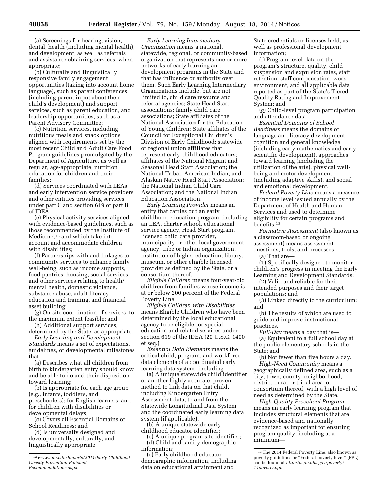(a) Screenings for hearing, vision, dental, health (including mental health), and development, as well as referrals and assistance obtaining services, when

appropriate; (b) Culturally and linguistically responsive family engagement opportunities (taking into account home language), such as parent conferences (including parent input about their child's development) and support services, such as parent education, and leadership opportunities, such as a Parent Advisory Committee;

(c) Nutrition services, including nutritious meals and snack options aligned with requirements set by the most recent Child and Adult Care Food Program guidelines promulgated by the Department of Agriculture, as well as regular, age-appropriate, nutrition education for children and their families;

(d) Services coordinated with LEAs and early intervention service providers and other entities providing services under part C and section 619 of part B of IDEA;

(e) Physical activity services aligned with evidence-based guidelines, such as those recommended by the Institute of Medicine,12 and which take into account and accommodate children with disabilities;

(f) Partnerships with and linkages to community services to enhance family well-being, such as income supports, food pantries, housing, social services, and other services relating to health/ mental health, domestic violence, substance abuse, adult literacy, education and training, and financial asset building;

(g) On-site coordination of services, to the maximum extent feasible; and

(h) Additional support services, determined by the State, as appropriate.

*Early Learning and Development Standards* means a set of expectations, guidelines, or developmental milestones that—

(a) Describes what all children from birth to kindergarten entry should know and be able to do and their disposition toward learning;

(b) Is appropriate for each age group (e.g., infants, toddlers, and preschoolers); for English learners; and for children with disabilities or developmental delays;

(c) Covers all Essential Domains of School Readiness; and

(d) Is universally designed and developmentally, culturally, and linguistically appropriate.

*Early Learning Intermediary Organization* means a national, statewide, regional, or community-based organization that represents one or more networks of early learning and development programs in the State and that has influence or authority over them. Such Early Learning Intermediary Organizations include, but are not limited to, child care resource and referral agencies; State Head Start associations; family child care associations; State affiliates of the National Association for the Education of Young Children; State affiliates of the Council for Exceptional Children's Division of Early Childhood; statewide or regional union affiliates that represent early childhood educators; affiliates of the National Migrant and Seasonal Head Start Association; the National Tribal, American Indian, and Alaskan Native Head Start Association; the National Indian Child Care Association; and the National Indian Education Association.

*Early Learning Provider* means an entity that carries out an early childhood education program, including an LEA, charter school, educational service agency, Head Start program, licensed child care provider, municipality or other local government agency, tribe or Indian organization, institution of higher education, library, museum, or other eligible licensed provider as defined by the State, or a consortium thereof.

*Eligible Children* means four-year-old children from families whose income is at or below 200 percent of the Federal Poverty Line.

*Eligible Children with Disabilities*  means Eligible Children who have been determined by the local educational agency to be eligible for special education and related services under section 619 of the IDEA (20 U.S.C. 1400 et seq.)

*Essential Data Elements* means the critical child, program, and workforce data elements of a coordinated early learning data system, including—

(a) A unique statewide child identifier or another highly accurate, proven method to link data on that child, including Kindergarten Entry Assessment data, to and from the Statewide Longitudinal Data System and the coordinated early learning data system (if applicable);

(b) A unique statewide early childhood educator identifier;

(c) A unique program site identifier; (d) Child and family demographic information;

(e) Early childhood educator demographic information, including data on educational attainment and

State credentials or licenses held, as well as professional development information;

(f) Program-level data on the program's structure, quality, child suspension and expulsion rates, staff retention, staff compensation, work environment, and all applicable data reported as part of the State's Tiered Quality Rating and Improvement System; and

(g) Child-level program participation and attendance data.

*Essential Domains of School Readiness* means the domains of language and literacy development, cognition and general knowledge (including early mathematics and early scientific development), approaches toward learning (including the utilization of the arts), physical wellbeing and motor development (including adaptive skills), and social and emotional development.

*Federal Poverty Line* means a measure of income level issued annually by the Department of Health and Human Services and used to determine eligibility for certain programs and benefits.13

*Formative Assessment* (also known as a classroom-based or ongoing assessment) means assessment questions, tools, and processes—

(a) That are—

(1) Specifically designed to monitor children's progress in meeting the Early Learning and Development Standards;

(2) Valid and reliable for their intended purposes and their target populations; and

(3) Linked directly to the curriculum; and

(b) The results of which are used to guide and improve instructional practices.

*Full-Day* means a day that is—

(a) Equivalent to a full school day at the public elementary schools in the State; and

(b) Not fewer than five hours a day. *High-Need Community* means a geographically defined area, such as a city, town, county, neighborhood, district, rural or tribal area, or consortium thereof, with a high level of need as determined by the State.

*High-Quality Preschool Program*  means an early learning program that includes structural elements that are evidence-based and nationally recognized as important for ensuring program quality, including at a minimum—

<sup>12</sup>*[www.iom.edu/Reports/2011/Early-Childhood-](http://www.iom.edu/Reports/2011/Early-Childhood-Obesity-Prevention-Policies/Recommendations.aspx)[Obesity-Prevention-Policies/](http://www.iom.edu/Reports/2011/Early-Childhood-Obesity-Prevention-Policies/Recommendations.aspx) [Recommendations.aspx](http://www.iom.edu/Reports/2011/Early-Childhood-Obesity-Prevention-Policies/Recommendations.aspx)*.

<sup>13</sup>The 2014 Federal Poverty Line, also known as poverty guidelines or ''Federal poverty level'' (FPL), can be found at *[http://aspe.hhs.gov/poverty/](http://aspe.hhs.gov/poverty/14poverty.cfm) [14poverty.cfm.](http://aspe.hhs.gov/poverty/14poverty.cfm)*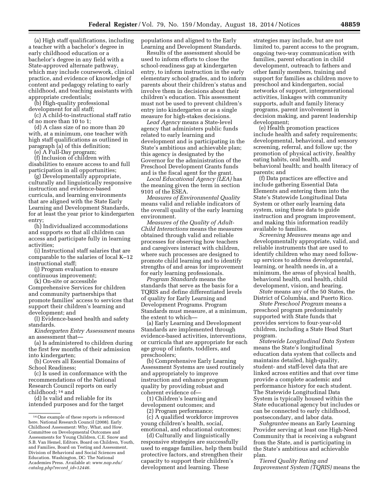(a) High staff qualifications, including a teacher with a bachelor's degree in early childhood education or a bachelor's degree in any field with a State-approved alternate pathway, which may include coursework, clinical practice, and evidence of knowledge of content and pedagogy relating to early childhood, and teaching assistants with appropriate credentials;

(b) High-quality professional development for all staff;

(c) A child-to-instructional staff ratio of no more than 10 to 1;

(d) A class size of no more than 20 with, at a minimum, one teacher with high staff qualifications as outlined in paragraph (a) of this definition;

(e) A Full-Day program;

(f) Inclusion of children with disabilities to ensure access to and full participation in all opportunities;

(g) Developmentally appropriate, culturally and linguistically responsive instruction and evidence-based curricula, and learning environments that are aligned with the State Early Learning and Development Standards, for at least the year prior to kindergarten entry;

(h) Individualized accommodations and supports so that all children can access and participate fully in learning activities;

(i) Instructional staff salaries that are comparable to the salaries of local K–12 instructional staff;

(j) Program evaluation to ensure continuous improvement;

(k) On-site or accessible

Comprehensive Services for children and community partnerships that promote families' access to services that support their children's learning and development; and

(l) Evidence-based health and safety standards.

*Kindergarten Entry Assessment* means an assessment that—

(a) Is administered to children during the first few months of their admission into kindergarten;

(b) Covers all Essential Domains of School Readiness;

(c) Is used in conformance with the recommendations of the National Research Council reports on early childhood; 14 and

(d) Is valid and reliable for its intended purposes and for the target populations and aligned to the Early Learning and Development Standards.

Results of the assessment should be used to inform efforts to close the school-readiness gap at kindergarten entry, to inform instruction in the early elementary school grades, and to inform parents about their children's status and involve them in decisions about their children's education. This assessment must not be used to prevent children's entry into kindergarten or as a single measure for high-stakes decisions.

*Lead Agency* means a State-level agency that administers public funds related to early learning and development and is participating in the State's ambitious and achievable plan; this agency is designated by the Governor for the administration of the Preschool Development Grants funds and is the fiscal agent for the grant.

*Local Educational Agency (LEA)* has the meaning given the term in section 9101 of the ESEA.

*Measures of Environmental Quality*  means valid and reliable indicators of the overall quality of the early learning environment.

*Measures of the Quality of Adult-Child Interactions* means the measures obtained through valid and reliable processes for observing how teachers and caregivers interact with children, where such processes are designed to promote child learning and to identify strengths of and areas for improvement for early learning professionals.

*Program Standards* means the standards that serve as the basis for a TQRIS and define differentiated levels of quality for Early Learning and Development Programs. Program Standards must measure, at a minimum, the extent to which—

(a) Early Learning and Development Standards are implemented through evidence-based activities, interventions, or curricula that are appropriate for each age group of infants, toddlers, and preschoolers;

(b) Comprehensive Early Learning Assessment Systems are used routinely and appropriately to improve instruction and enhance program quality by providing robust and coherent evidence of—

(1) Children's learning and development outcomes; and

(2) Program performance;

(c) A qualified workforce improves young children's health, social, emotional, and educational outcomes;

(d) Culturally and linguistically responsive strategies are successfully used to engage families, help them build protective factors, and strengthen their capacity to support their children's development and learning. These

strategies may include, but are not limited to, parent access to the program, ongoing two-way communication with families, parent education in child development, outreach to fathers and other family members, training and support for families as children move to preschool and kindergarten, social networks of support, intergenerational activities, linkages with community supports, adult and family literacy programs, parent involvement in decision making, and parent leadership development;

(e) Health promotion practices include health and safety requirements; developmental, behavioral, and sensory screening, referral, and follow up; the promotion of physical activity, healthy eating habits, oral health, and behavioral health; and health literacy of parents; and

(f) Data practices are effective and include gathering Essential Data Elements and entering them into the State's Statewide Longitudinal Data System or other early learning data system, using these data to guide instruction and program improvement, and making this information readily available to families.

*Screening Measures* means age and developmentally appropriate, valid, and reliable instruments that are used to identify children who may need followup services to address developmental, learning, or health needs in, at a minimum, the areas of physical health, behavioral health, oral health, child development, vision, and hearing.

*State* means any of the 50 States, the District of Columbia, and Puerto Rico.

*State Preschool Program* means a preschool program predominately supported with State funds that provides services to four-year-old children, including a State Head Start program.

*Statewide Longitudinal Data System*  means the State's longitudinal education data system that collects and maintains detailed, high-quality, student- and staff-level data that are linked across entities and that over time provide a complete academic and performance history for each student. The Statewide Longitudinal Data System is typically housed within the State educational agency but includes or can be connected to early childhood, postsecondary, and labor data.

*Subgrantee* means an Early Learning Provider serving at least one High-Need Community that is receiving a subgrant from the State, and is participating in the State's ambitious and achievable plan.

*Tiered Quality Rating and Improvement System (TQRIS)* means the

<sup>14</sup>One example of these reports is referenced here. National Research Council (2008). Early Childhood Assessment: Why, What, and How. Committee on Developmental Outcomes and Assessments for Young Children, C.E. Snow and S.B. Van Hemel, Editors. Board on Children, Youth, and Families, Board on Testing and Assessment, Division of Behavioral and Social Sciences and Education. Washington, DC: The National Academies Press. Available at: *[www.nap.edu/](http://www.nap.edu/catalog.php?record_id=12446) [catalog.php?record](http://www.nap.edu/catalog.php?record_id=12446)*\_*id=12446.*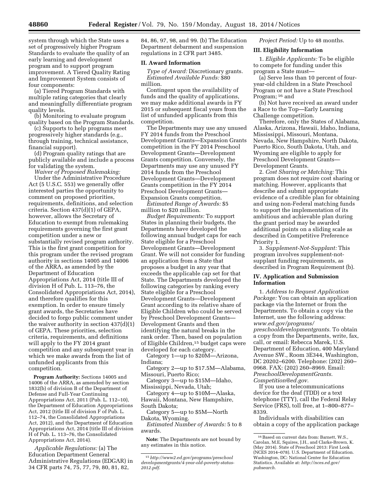system through which the State uses a set of progressively higher Program Standards to evaluate the quality of an early learning and development program and to support program improvement. A Tiered Quality Rating and Improvement System consists of four components:

(a) Tiered Program Standards with multiple rating categories that clearly and meaningfully differentiate program quality levels.

(b) Monitoring to evaluate program quality based on the Program Standards.

(c) Supports to help programs meet progressively higher standards (e.g., through training, technical assistance, financial support).

(d) Program quality ratings that are publicly available and include a process for validating the system.

*Waiver of Proposed Rulemaking:*  Under the Administrative Procedure Act (5 U.S.C. 553) we generally offer interested parties the opportunity to comment on proposed priorities, requirements, definitions, and selection criteria. Section 437(d)(1) of GEPA, however, allows the Secretary of Education to exempt from rulemaking requirements governing the first grant competition under a new or substantially revised program authority. This is the first grant competition for this program under the revised program authority in sections 14005 and 14006 of the ARRA, as amended by the Department of Education Appropriations Act, 2014 (title III of division H of Pub. L. 113–76, the Consolidated Appropriations Act, 2014), and therefore qualifies for this exemption. In order to ensure timely grant awards, the Secretaries have decided to forgo public comment under the waiver authority in section 437(d)(1) of GEPA. These priorities, selection criteria, requirements, and definitions will apply to the FY 2014 grant competition and any subsequent year in which we make awards from the list of unfunded applicants from this competition.

**Program Authority:** Sections 14005 and 14006 of the ARRA, as amended by section 1832(b) of division B of the Department of Defense and Full-Year Continuing Appropriations Act, 2011 (Pub. L. 112–10), the Department of Education Appropriations Act, 2012 (title III of division F of Pub. L. 112–74, the Consolidated Appropriations Act, 2012), and the Department of Education Appropriations Act, 2014 (title III of division H of Pub. L. 113-76, the Consolidated Appropriations Act, 2014).

*Applicable Regulations:* (a) The Education Department General Administrative Regulations (EDGAR) in 34 CFR parts 74, 75, 77, 79, 80, 81, 82,

84, 86, 97, 98, and 99. (b) The Education Department debarment and suspension regulations in 2 CFR part 3485.

# **II. Award Information**

*Type of Award:* Discretionary grants. *Estimated Available Funds:* \$80 million.

Contingent upon the availability of funds and the quality of applications, we may make additional awards in FY 2015 or subsequent fiscal years from the list of unfunded applicants from this competition.

The Departments may use any unused FY 2014 funds from the Preschool Development Grants—Expansion Grants competition in the FY 2014 Preschool Development Grants—Development Grants competition. Conversely, the Departments may use any unused FY 2014 funds from the Preschool Development Grants—Development Grants competition in the FY 2014 Preschool Development Grants— Expansion Grants competition.

*Estimated Range of Awards:* \$5 million to \$20 million.

*Budget Requirements:* To support States in planning their budgets, the Departments have developed the following annual budget caps for each State eligible for a Preschool Development Grants—Development Grant. We will not consider for funding an application from a State that proposes a budget in any year that exceeds the applicable cap set for that State. The Departments developed the following categories by ranking every State eligible for a Preschool Development Grants—Development Grant according to its relative share of Eligible Children who could be served by Preschool Development Grants— Development Grants and then identifying the natural breaks in the rank order. Then, based on population of Eligible Children,15 budget caps were developed for each category.

Category 1—up to \$20M—Arizona, Indiana;

Category 2—up to \$17.5M—Alabama, Missouri, Puerto Rico;

Category 3—up to \$15M—Idaho, Mississippi, Nevada, Utah;

Category 4—up to \$10M—Alaska, Hawaii, Montana, New Hampshire,

South Dakota;

Category 5—up to \$5M—North Dakota, Wyoming.

*Estimated Number of Awards:* 5 to 8 awards.

**Note:** The Departments are not bound by any estimates in this notice.

# *Project Period:* Up to 48 months.

# **III. Eligibility Information**

1. *Eligible Applicants:* To be eligible to compete for funding under this program a State must—

(a) Serve less than 10 percent of fouryear-old children in a State Preschool Program or not have a State Preschool Program; 16 and

(b) Not have received an award under a Race to the Top—Early Learning Challenge competition.

Therefore, only the States of Alabama, Alaska, Arizona, Hawaii, Idaho, Indiana, Mississippi, Missouri, Montana, Nevada, New Hampshire, North Dakota, Puerto Rico, South Dakota, Utah, and Wyoming are eligible to apply for Preschool Development Grants— Development Grants.

2. *Cost Sharing or Matching:* This program does not require cost sharing or matching. However, applicants that describe and submit appropriate evidence of a credible plan for obtaining and using non-Federal matching funds to support the implementation of its ambitious and achievable plan during the grant period may be awarded additional points on a sliding scale as described in Competitive Preference Priority 1.

3. *Supplement-Not-Supplant:* This program involves supplement-notsupplant funding requirements, as described in Program Requirement (b).

# **IV. Application and Submission Information**

1. *Address to Request Application Package:* You can obtain an application package via the Internet or from the Departments. To obtain a copy via the Internet, use the following address: *[www.ed.gov/programs/](http://www.ed.gov/programs/preschooldevelopmentgrants) [preschooldevelopmentgrants.](http://www.ed.gov/programs/preschooldevelopmentgrants)* To obtain a copy from the Departments, write, fax, call, or email: Rebecca Marek, U.S. Department of Education, 400 Maryland Avenue SW., Room 3E344, Washington, DC 20202–6200. Telephone: (202) 260– 0968. FAX: (202) 260–8969. Email: *PreschoolDevelopmentGrants. Competition@ed.gov.* 

If you use a telecommunications device for the deaf (TDD) or a text telephone (TTY), call the Federal Relay Service (FRS), toll free, at 1–800–877– 8339.

Individuals with disabilities can obtain a copy of the application package

<sup>15</sup>*[http://www2.ed.gov/programs/preschool](http://www2.ed.gov/programs/preschooldevelopmentgrants/4-year-old-poverty-status-2012.pdf) [developmentgrants/4-year-old-poverty-status-](http://www2.ed.gov/programs/preschooldevelopmentgrants/4-year-old-poverty-status-2012.pdf)[2012.pdf](http://www2.ed.gov/programs/preschooldevelopmentgrants/4-year-old-poverty-status-2012.pdf)*.

<sup>16</sup>Based on current data from: Barnett, W.S., Carolan, M.E, Squires, J.H., and Clarke-Brown, K. (May 2014). State of Preschool 2013: First Look (NCES 2014–078). U.S. Department of Education. Washington, DC: National Center for Education Statistics. Available at: *[http://nces.ed.gov/](http://nces.ed.gov/pubsearch) [pubsearch.](http://nces.ed.gov/pubsearch)*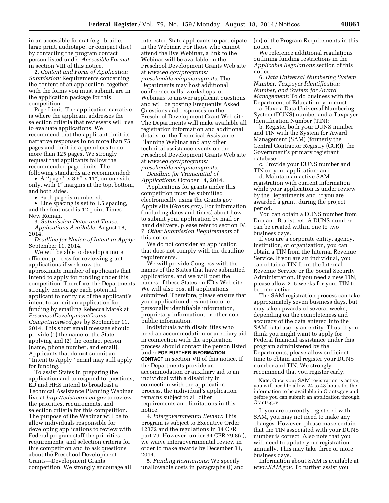in an accessible format (e.g., braille, large print, audiotape, or compact disc) by contacting the program contact person listed under *Accessible Format*  in section VIII of this notice.

2. *Content and Form of Application Submission:* Requirements concerning the content of an application, together with the forms you must submit, are in the application package for this competition.

Page Limit: The application narrative is where the applicant addresses the selection criteria that reviewers will use to evaluate applications. We recommend that the applicant limit its narrative responses to no more than 75 pages and limit its appendices to no more than 125 pages. We strongly request that applicants follow the recommended page limits. The following standards are recommended:

• A ''page'' is 8.5″ x 11″, on one side only, with 1″ margins at the top, bottom, and both sides.

• Each page is numbered.

• Line spacing is set to 1.5 spacing, and the font used is 12-point Times New Roman.

3. *Submission Dates and Times: Applications Available:* August 18, 2014.

*Deadline for Notice of Intent to Apply:*  September 11, 2014.

We will be able to develop a more efficient process for reviewing grant applications if we know the approximate number of applicants that intend to apply for funding under this competition. Therefore, the Departments strongly encourage each potential applicant to notify us of the applicant's intent to submit an application for funding by emailing Rebecca Marek at *PreschoolDevelopmentGrants. Competition@ed.gov* by September 11, 2014. This short email message should provide (1) the name of the State applying and (2) the contact person (name, phone number, and email). Applicants that do not submit an ''Intent to Apply'' email may still apply for funding.

To assist States in preparing the application and to respond to questions, ED and HHS intend to broadcast a Technical Assistance Planning Webinar live at *<http://edstream.ed.gov>*to review the priorities, requirements, and selection criteria for this competition. The purpose of the Webinar will be to allow individuals responsible for developing applications to review with Federal program staff the priorities, requirements, and selection criteria for this competition and to ask questions about the Preschool Development Grants—Development Grants competition. We strongly encourage all

interested State applicants to participate in the Webinar. For those who cannot attend the live Webinar, a link to the Webinar will be available on the Preschool Development Grants Web site at *[www.ed.gov/programs/](http://www.ed.gov/programs/preschooldevelopmentgrants) [preschooldevelopmentgrants.](http://www.ed.gov/programs/preschooldevelopmentgrants)* The Departments may host additional conference calls, workshops, or Webinars to answer applicant questions and will be posting Frequently Asked Questions and responses on the Preschool Development Grant Web site. The Departments will make available all registration information and additional details for the Technical Assistance Planning Webinar and any other technical assistance events on the Preschool Development Grants Web site at *[www.ed.gov/programs/](http://www.ed.gov/programs/preschooldevelopmentgrants) [preschooldevelopmentgrants.](http://www.ed.gov/programs/preschooldevelopmentgrants)* 

*Deadline for Transmittal of Applications:* October 14, 2014.

Applications for grants under this competition must be submitted electronically using the Grants.gov Apply site (*Grants.gov*). For information (including dates and times) about how to submit your application by mail or hand delivery, please refer to section IV. 7. *Other Submission Requirements* of this notice.

We do not consider an application that does not comply with the deadline requirements.

We will provide Congress with the names of the States that have submitted applications, and we will post the names of these States on ED's Web site. We will also post all applications submitted. Therefore, please ensure that your application does not include personally identifiable information, proprietary information, or other nonpublic information.

Individuals with disabilities who need an accommodation or auxiliary aid in connection with the application process should contact the person listed under **FOR FURTHER INFORMATION CONTACT** in section VII of this notice. If the Departments provide an accommodation or auxiliary aid to an individual with a disability in connection with the application process, the individual's application remains subject to all other requirements and limitations in this notice.

4. *Intergovernmental Review:* This program is subject to Executive Order 12372 and the regulations in 34 CFR part 79. However, under 34 CFR 79.8(a), we waive intergovernmental review in order to make awards by December 31, 2014.

5. *Funding Restrictions:* We specify unallowable costs in paragraphs (l) and (m) of the Program Requirements in this notice.

We reference additional regulations outlining funding restrictions in the *Applicable Regulations* section of this notice.

6. *Data Universal Numbering System Number, Taxpayer Identification Number, and System for Award Management:* To do business with the Department of Education, you must—

a. Have a Data Universal Numbering System (DUNS) number and a Taxpayer Identification Number (TIN);

b. Register both your DUNS number and TIN with the System for Award Management (SAM) (formerly the Central Contractor Registry (CCR)), the Government's primary registrant database;

c. Provide your DUNS number and TIN on your application; and

d. Maintain an active SAM registration with current information while your application is under review by the Departments and, if you are awarded a grant, during the project period.

You can obtain a DUNS number from Dun and Bradstreet. A DUNS number can be created within one to two business days.

If you are a corporate entity, agency, institution, or organization, you can obtain a TIN from the Internal Revenue Service. If you are an individual, you can obtain a TIN from the Internal Revenue Service or the Social Security Administration. If you need a new TIN, please allow 2–5 weeks for your TIN to become active.

The SAM registration process can take approximately seven business days, but may take upwards of several weeks, depending on the completeness and accuracy of the data entered into the SAM database by an entity. Thus, if you think you might want to apply for Federal financial assistance under this program administered by the Departments, please allow sufficient time to obtain and register your DUNS number and TIN. We strongly recommend that you register early.

**Note:** Once your SAM registration is active, you will need to allow 24 to 48 hours for the information to be available in Grants.gov and before you can submit an application through Grants.gov.

If you are currently registered with SAM, you may not need to make any changes. However, please make certain that the TIN associated with your DUNS number is correct. Also note that you will need to update your registration annually. This may take three or more business days.

Information about SAM is available at *[www.SAM.gov.](http://www.SAM.gov)* To further assist you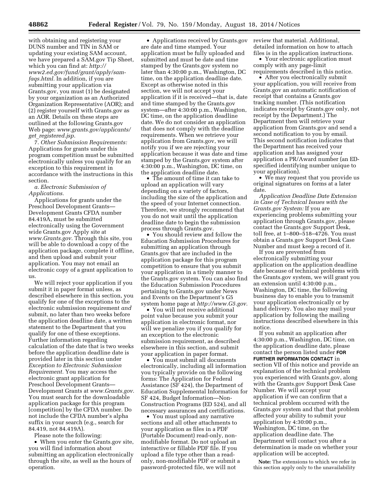with obtaining and registering your DUNS number and TIN in SAM or updating your existing SAM account, we have prepared a SAM.gov Tip Sheet, which you can find at: *[http://](http://www2.ed.gov/fund/grant/apply/sam-faqs.html) [www2.ed.gov/fund/grant/apply/sam](http://www2.ed.gov/fund/grant/apply/sam-faqs.html)[faqs.html.](http://www2.ed.gov/fund/grant/apply/sam-faqs.html)* In addition, if you are submitting your application via Grants.gov, you must (1) be designated by your organization as an Authorized Organization Representative (AOR); and (2) register yourself with Grants.gov as an AOR. Details on these steps are outlined at the following Grants.gov Web page: *[www.grants.gov/applicants/](http://www.grants.gov/applicants/get_registered.jsp) get*\_*[registered.jsp.](http://www.grants.gov/applicants/get_registered.jsp)* 

7. *Other Submission Requirements:*  Applications for grants under this program competition must be submitted electronically unless you qualify for an exception to this requirement in accordance with the instructions in this section.

*a. Electronic Submission of Applications.* 

Applications for grants under the Preschool Development Grants— Development Grants CFDA number 84.419A, must be submitted electronically using the Government wide Grants.gov Apply site at *[www.Grants.gov.](http://www.Grants.gov)* Through this site, you will be able to download a copy of the application package, complete it offline, and then upload and submit your application. You may not email an electronic copy of a grant application to us.

We will reject your application if you submit it in paper format unless, as described elsewhere in this section, you qualify for one of the exceptions to the electronic submission requirement *and*  submit, no later than two weeks before the application deadline date, a written statement to the Department that you qualify for one of these exceptions. Further information regarding calculation of the date that is two weeks before the application deadline date is provided later in this section under *Exception to Electronic Submission Requirement.* You may access the electronic grant application for Preschool Development Grants— Development Grants at *[www.Grants.gov.](http://www.Grants.gov)*  You must search for the downloadable application package for this program [competition] by the CFDA number. Do not include the CFDA number's alpha suffix in your search (e.g., search for 84.419, not 84.419A).

Please note the following:

• When you enter the Grants.gov site, you will find information about submitting an application electronically through the site, as well as the hours of operation.

• Applications received by Grants.gov are date and time stamped. Your application must be fully uploaded and submitted and must be date and time stamped by the Grants.gov system no later than 4:30:00 p.m., Washington, DC time, on the application deadline date. Except as otherwise noted in this section, we will not accept your application if it is received—that is, date and time stamped by the Grants.gov system—after 4:30:00 p.m., Washington, DC time, on the application deadline date. We do not consider an application that does not comply with the deadline requirements. When we retrieve your application from Grants.gov, we will notify you if we are rejecting your application because it was date and time stamped by the Grants.gov system after 4:30:00 p.m., Washington, DC time, on the application deadline date.

• The amount of time it can take to upload an application will vary depending on a variety of factors, including the size of the application and the speed of your Internet connection. Therefore, we strongly recommend that you do not wait until the application deadline date to begin the submission process through Grants.gov.

• You should review and follow the Education Submission Procedures for submitting an application through Grants.gov that are included in the application package for this program competition to ensure that you submit your application in a timely manner to the Grants.gov system. You can also find the Education Submission Procedures pertaining to Grants.gov under News and Events on the Department's G5 system home page at *[http://www.G5.gov.](http://www.G5.gov)* 

• You will not receive additional point value because you submit your application in electronic format, nor will we penalize you if you qualify for an exception to the electronic submission requirement, as described elsewhere in this section, and submit your application in paper format.

• You must submit all documents electronically, including all information you typically provide on the following forms: The Application for Federal Assistance (SF 424), the Department of Education Supplemental Information for SF 424, Budget Information—Non-Construction Programs (ED 524), and all necessary assurances and certifications.

• You must upload any narrative sections and all other attachments to your application as files in a PDF (Portable Document) read-only, nonmodifiable format. Do not upload an interactive or fillable PDF file. If you upload a file type other than a readonly, non-modifiable PDF or submit a password-protected file, we will not

review that material. Additional, detailed information on how to attach files is in the application instructions.

• Your electronic application must comply with any page-limit requirements described in this notice.

• After you electronically submit your application, you will receive from Grants.gov an automatic notification of receipt that contains a Grants.gov tracking number. (This notification indicates receipt by Grants.gov only, not receipt by the Department.) The Department then will retrieve your application from Grants.gov and send a second notification to you by email. This second notification indicates that the Department has received your application and has assigned your application a PR/Award number (an EDspecified identifying number unique to your application).

• We may request that you provide us original signatures on forms at a later date.

*Application Deadline Date Extension in Case of Technical Issues with the Grants.gov System:* If you are experiencing problems submitting your application through Grants.gov, please contact the Grants.gov Support Desk, toll free, at 1–800–518–4726. You must obtain a Grants.gov Support Desk Case Number and must keep a record of it.

If you are prevented from electronically submitting your application on the application deadline date because of technical problems with the Grants.gov system, we will grant you an extension until 4:30:00 p.m., Washington, DC time, the following business day to enable you to transmit your application electronically or by hand delivery. You also may mail your application by following the mailing instructions described elsewhere in this notice.

If you submit an application after 4:30:00 p.m., Washington, DC time, on the application deadline date, please contact the person listed under **FOR FURTHER INFORMATION CONTACT** in section VII of this notice and provide an explanation of the technical problem you experienced with Grants.gov, along with the Grants.gov Support Desk Case Number. We will accept your application if we can confirm that a technical problem occurred with the Grants.gov system and that that problem affected your ability to submit your application by 4:30:00 p.m., Washington, DC time, on the application deadline date. The Department will contact you after a determination is made on whether your application will be accepted.

**Note:** The extensions to which we refer in this section apply only to the unavailability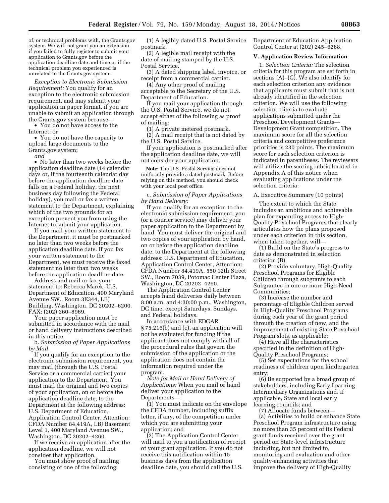of, or technical problems with, the Grants.gov system. We will not grant you an extension if you failed to fully register to submit your application to Grants.gov before the application deadline date and time or if the technical problem you experienced is unrelated to the Grants.gov system.

*Exception to Electronic Submission Requirement:* You qualify for an exception to the electronic submission requirement, and may submit your application in paper format, if you are unable to submit an application through the Grants.gov system because—

• You do not have access to the Internet; or

• You do not have the capacity to upload large documents to the Grants.gov system;

*and* 

• No later than two weeks before the application deadline date (14 calendar days or, if the fourteenth calendar day before the application deadline date falls on a Federal holiday, the next business day following the Federal holiday), you mail or fax a written statement to the Department, explaining which of the two grounds for an exception prevent you from using the Internet to submit your application.

If you mail your written statement to the Department, it must be postmarked no later than two weeks before the application deadline date. If you fax your written statement to the Department, we must receive the faxed statement no later than two weeks before the application deadline date.

Address and mail or fax your statement to: Rebecca Marek, U.S. Department of Education, 400 Maryland Avenue SW., Room 3E344, LBJ Building, Washington, DC 20202–6200. FAX: (202) 260–8969.

Your paper application must be submitted in accordance with the mail or hand delivery instructions described in this notice.

b. *Submission of Paper Applications by Mail.* 

If you qualify for an exception to the electronic submission requirement, you may mail (through the U.S. Postal Service or a commercial carrier) your application to the Department. You must mail the original and two copies of your application, on or before the application deadline date, to the Department at the following address: U.S. Department of Education, Application Control Center, Attention: CFDA Number 84.419A, LBJ Basement Level 1, 400 Maryland Avenue SW., Washington, DC 20202–4260.

If we receive an application after the application deadline, we will not consider that application.

You must show proof of mailing consisting of one of the following:

(1) A legibly dated U.S. Postal Service postmark.

(2) A legible mail receipt with the date of mailing stamped by the U.S. Postal Service.

(3) A dated shipping label, invoice, or receipt from a commercial carrier.

(4) Any other proof of mailing acceptable to the Secretary of the U.S. Department of Education.

If you mail your application through the U.S. Postal Service, we do not accept either of the following as proof of mailing:

(1) A private metered postmark.

(2) A mail receipt that is not dated by the U.S. Postal Service.

If your application is postmarked after the application deadline date, we will not consider your application.

**Note:** The U.S. Postal Service does not uniformly provide a dated postmark. Before relying on this method, you should check with your local post office.

c. *Submission of Paper Applications by Hand Delivery:* 

If you qualify for an exception to the electronic submission requirement, you (or a courier service) may deliver your paper application to the Department by hand. You must deliver the original and two copies of your application by hand, on or before the application deadline date, to the Department at the following address: U.S. Department of Education, Application Control Center, Attention: CFDA Number 84.419A, 550 12th Street SW., Room 7039, Potomac Center Plaza, Washington, DC 20202–4260.

The Application Control Center accepts hand deliveries daily between 8:00 a.m. and 4:30:00 p.m., Washington, DC time, except Saturdays, Sundays, and Federal holidays.

In accordance with EDGAR § 75.216(b) and (c), an application will not be evaluated for funding if the applicant does not comply with all of the procedural rules that govern the submission of the application or the application does not contain the information required under the program.

*Note for Mail or Hand Delivery of Applications:* When you mail or hand deliver your application to the Departments—

(1) You must indicate on the envelope the CFDA number, including suffix letter, if any, of the competition under which you are submitting your application; and

(2) The Application Control Center will mail to you a notification of receipt of your grant application. If you do not receive this notification within 15 business days from the application deadline date, you should call the U.S.

Department of Education Application Control Center at (202) 245–6288.

# **V. Application Review Information**

1. *Selection Criteria:* The selection criteria for this program are set forth in sections (A)–(G). We also identify for each selection criterion any evidence that applicants must submit that is not already identified in the selection criterion. We will use the following selection criteria to evaluate applications submitted under the Preschool Development Grants— Development Grant competition. The maximum score for all the selection criteria and competitive preference priorities is 230 points. The maximum score for each selection criterion is indicated in parentheses. The reviewers will utilize the scoring rubric located in Appendix A of this notice when evaluating applications under the selection criteria:

A. Executive Summary (10 points)

The extent to which the State includes an ambitious and achievable plan for expanding access to High-Quality Preschool Programs that clearly articulates how the plans proposed under each criterion in this section, when taken together, will—

(1) Build on the State's progress to date as demonstrated in selection criterion (B);

(2) Provide voluntary, High-Quality Preschool Programs for Eligible Children through subgrants to each Subgrantee in one or more High-Need Communities;

(3) Increase the number and percentage of Eligible Children served in High-Quality Preschool Programs during each year of the grant period through the creation of new, and the improvement of existing State Preschool Program slots, as applicable;

(4) Have all the characteristics specified in the definition of High-Quality Preschool Programs;

(5) Set expectations for the school readiness of children upon kindergarten entry;

(6) Be supported by a broad group of stakeholders, including Early Learning Intermediary Organizations and, if applicable, State and local early learning councils; and

(7) Allocate funds between— (a) Activities to build or enhance State Preschool Program infrastructure using no more than 35 percent of its Federal grant funds received over the grant period on State-level infrastructure including, but not limited to, monitoring and evaluation and other quality-enhancing activities that improve the delivery of High-Quality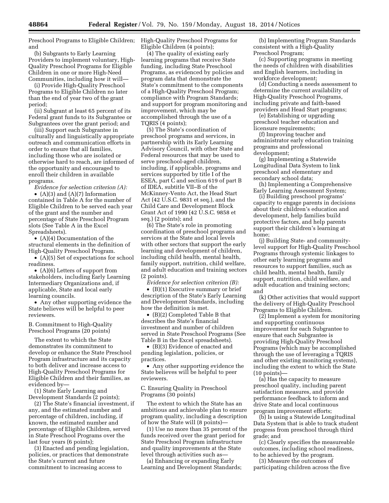Preschool Programs to Eligible Children; and

(b) Subgrants to Early Learning Providers to implement voluntary, High-Quality Preschool Programs for Eligible Children in one or more High-Need Communities, including how it will—

(i) Provide High-Quality Preschool Programs to Eligible Children no later than the end of year two of the grant period;

(ii) Subgrant at least 65 percent of its Federal grant funds to its Subgrantee or Subgrantees over the grant period; and

(iii) Support each Subgrantee in culturally and linguistically appropriate outreach and communication efforts in order to ensure that all families, including those who are isolated or otherwise hard to reach, are informed of the opportunity and encouraged to enroll their children in available programs.

*Evidence for selection criterion (A):* 

•  $(A)(3)$  and  $(A)(7)$  Information contained in Table A for the number of Eligible Children to be served each year of the grant and the number and percentage of State Preschool Program slots (See Table A in the Excel Spreadsheets).

• (A)(4) Documentation of the structural elements in the definition of High-Quality Preschool Program.

• (A)(5) Set of expectations for school readiness.

• (A)(6) Letters of support from stakeholders, including Early Learning Intermediary Organizations and, if applicable, State and local early learning councils.

• Any other supporting evidence the State believes will be helpful to peer reviewers.

B. Commitment to High-Quality Preschool Programs (20 points)

The extent to which the State demonstrates its commitment to develop or enhance the State Preschool Program infrastructure and its capacity to both deliver and increase access to High-Quality Preschool Programs for Eligible Children and their families, as evidenced by—

(1) State Early Learning and Development Standards (2 points);

(2) The State's financial investment, if any, and the estimated number and percentage of children, including, if known, the estimated number and percentage of Eligible Children, served in State Preschool Programs over the last four years (6 points);

(3) Enacted and pending legislation, policies, or practices that demonstrate the State's current and future commitment to increasing access to

High-Quality Preschool Programs for Eligible Children (4 points);

(4) The quality of existing early learning programs that receive State funding, including State Preschool Programs, as evidenced by policies and program data that demonstrate the State's commitment to the components of a High-Quality Preschool Program; compliance with Program Standards; and support for program monitoring and improvement, which may be accomplished through the use of a TQRIS (4 points);

(5) The State's coordination of preschool programs and services, in partnership with its Early Learning Advisory Council, with other State and Federal resources that may be used to serve preschool-aged children, including, if applicable, programs and services supported by title I of the ESEA, part C and section 619 of part B of IDEA, subtitle VII–B of the McKinney-Vento Act, the Head Start Act (42 U.S.C. 9831 et seq.), and the Child Care and Development Block Grant Act of 1990 (42 U.S.C. 9858 et seq.) (2 points); and

(6) The State's role in promoting coordination of preschool programs and services at the State and local levels with other sectors that support the early learning and development of children, including child health, mental health, family support, nutrition, child welfare, and adult education and training sectors (2 points).

*Evidence for selection criterion (B):* 

• (B)(1) Executive summary or brief description of the State's Early Learning and Development Standards, including how the definition is met.

• (B)(2) Completed Table B that describes the State's financial investment and number of children served in State Preschool Programs (See Table B in the Excel spreadsheets).

• (B)(3) Evidence of enacted and pending legislation, policies, or practices.

• Any other supporting evidence the State believes will be helpful to peer reviewers.

# C. Ensuring Quality in Preschool Programs (30 points)

The extent to which the State has an ambitious and achievable plan to ensure program quality, including a description of how the State will (8 points)—

(1) Use no more than 35 percent of the funds received over the grant period for State Preschool Program infrastructure and quality improvements at the State level through activities such as—

(a) Enhancing or expanding Early Learning and Development Standards;

(b) Implementing Program Standards consistent with a High-Quality Preschool Program;

(c) Supporting programs in meeting the needs of children with disabilities and English learners, including in workforce development;

(d) Conducting a needs assessment to determine the current availability of High-Quality Preschool Programs, including private and faith-based providers and Head Start programs;

(e) Establishing or upgrading preschool teacher education and licensure requirements;

(f) Improving teacher and administrator early education training programs and professional development;

(g) Implementing a Statewide Longitudinal Data System to link preschool and elementary and secondary school data;

(h) Implementing a Comprehensive Early Learning Assessment System;

(i) Building preschool programs' capacity to engage parents in decisions about their children's education and development, help families build protective factors, and help parents support their children's learning at home;

(j) Building State- and communitylevel support for High-Quality Preschool Programs through systemic linkages to other early learning programs and resources to support families, such as child health, mental health, family support, nutrition, child welfare, and adult education and training sectors; and

(k) Other activities that would support the delivery of High-Quality Preschool Programs to Eligible Children.

(2) Implement a system for monitoring and supporting continuous improvement for each Subgrantee to ensure that each Subgrantee is providing High-Quality Preschool Programs (which may be accomplished through the use of leveraging a TQRIS and other existing monitoring systems), including the extent to which the State (10 points)—

(a) Has the capacity to measure preschool quality, including parent satisfaction measures, and provide performance feedback to inform and drive State and local continuous program improvement efforts;

(b) Is using a Statewide Longitudinal Data System that is able to track student progress from preschool through third grade; and

(c) Clearly specifies the measureable outcomes, including school readiness, to be achieved by the program.

(3) Measure the outcomes of participating children across the five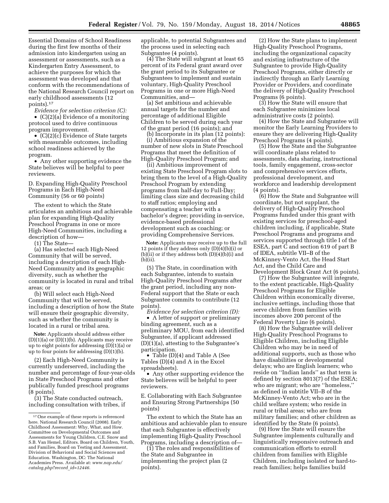Essential Domains of School Readiness during the first few months of their admission into kindergarten using an assessment or assessments, such as a Kindergarten Entry Assessment, to achieve the purposes for which the assessment was developed and that conform with the recommendations of the National Research Council report on early childhood assessments (12 points).17

*Evidence for selection criterion (C):* 

• (C)(2)(a) Evidence of a monitoring protocol used to drive continuous program improvement.

• (C)(2)(c) Evidence of State targets with measurable outcomes, including school readiness achieved by the program.

• Any other supporting evidence the State believes will be helpful to peer reviewers.

D. Expanding High-Quality Preschool Programs in Each High-Need Community (56 or 60 points)

The extent to which the State articulates an ambitious and achievable plan for expanding High-Quality Preschool Programs in one or more High-Need Communities, including a description of how—

(1) The State—

(a) Has selected each High-Need Community that will be served, including a description of each High-Need Community and its geographic diversity, such as whether the community is located in rural and tribal areas; or

(b) Will select each High-Need Community that will be served, including a description of how the State will ensure their geographic diversity, such as whether the community is located in a rural or tribal area.

**Note:** Applicants should address either  $(D)(1)(a)$  or  $(D)(1)(b)$ . Applicants may receive up to eight points for addressing  $(D)(1)(a)$  or up to four points for addressing (D)(1)(b).

(2) Each High-Need Community is currently underserved, including the number and percentage of four-year-olds in State Preschool Programs and other publically funded preschool programs (8 points).

(3) The State conducted outreach, including consultation with tribes, if applicable, to potential Subgrantees and the process used in selecting each Subgrantee (4 points).

(4) The State will subgrant at least 65 percent of its Federal grant award over the grant period to its Subgrantee or Subgrantees to implement and sustain voluntary, High-Quality Preschool Programs in one or more High-Need Communities, and—

(a) Set ambitious and achievable annual targets for the number and percentage of additional Eligible Children to be served during each year of the grant period (16 points); and

(b) Incorporate in its plan (12 points): (i) Ambitious expansion of the number of new slots in State Preschool Programs that meet the definition of High-Quality Preschool Program; and

(ii) Ambitious improvement of existing State Preschool Program slots to bring them to the level of a High-Quality Preschool Program by extending programs from half-day to Full-Day; limiting class size and decreasing child to staff ratios; employing and compensating a teacher with a bachelor's degree; providing in-service, evidence-based professional development such as coaching; or providing Comprehensive Services.

**Note:** Applicants may receive up to the full 12 points if they address only (D)(4)(b)(i) or  $(b)(ii)$  or if they address both  $(D)(4)(b)(i)$  and (b)(ii).

(5) The State, in coordination with each Subgrantee, intends to sustain High-Quality Preschool Programs after the grant period, including any non-Federal support that the State or each Subgrantee commits to contribute (12 points).

*Evidence for selection criterion (D):* 

• A letter of support or preliminary binding agreement, such as a preliminary MOU, from each identified Subgrantee, if applicant addressed (D)(1)(a), attesting to the Subgrantee's participation.

• Table (D)(4) and Table A (See Tables (D)(4) and A in the Excel spreadsheets).

• Any other supporting evidence the State believes will be helpful to peer reviewers.

E. Collaborating with Each Subgrantee and Ensuring Strong Partnerships (50 points)

The extent to which the State has an ambitious and achievable plan to ensure that each Subgrantee is effectively implementing High-Quality Preschool Programs, including a description of—

(1) The roles and responsibilities of the State and Subgrantee in implementing the project plan (2 points).

(2) How the State plans to implement High-Quality Preschool Programs, including the organizational capacity and existing infrastructure of the Subgrantee to provide High-Quality Preschool Programs, either directly or indirectly through an Early Learning Provider or Providers, and coordinate the delivery of High-Quality Preschool Programs (6 points).

(3) How the State will ensure that each Subgrantee minimizes local administrative costs (2 points).

(4) How the State and Subgrantee will monitor the Early Learning Providers to ensure they are delivering High-Quality Preschool Programs (4 points).

(5) How the State and the Subgrantee will coordinate plans related to assessments, data sharing, instructional tools, family engagement, cross-sector and comprehensive services efforts, professional development, and workforce and leadership development (4 points).

(6) How the State and Subgrantee will coordinate, but not supplant, the delivery of High-Quality Preschool Programs funded under this grant with existing services for preschool-aged children including, if applicable, State Preschool Programs and programs and services supported through title I of the ESEA, part C and section 619 of part B of IDEA, subtitle VII–B of the McKinney-Vento Act, the Head Start Act, and the Child Care and Development Block Grant Act (6 points).

(7) How the Subgrantee will integrate, to the extent practicable, High-Quality Preschool Programs for Eligible Children within economically diverse, inclusive settings, including those that serve children from families with incomes above 200 percent of the Federal Poverty Line (6 points).

(8) How the Subgrantee will deliver High-Quality Preschool Programs to Eligible Children, including Eligible Children who may be in need of additional supports, such as those who have disabilities or developmental delays; who are English learners; who reside on ''Indian lands'' as that term is defined by section 8013(7) of the ESEA; who are migrant; who are ''homeless,'' as defined in subtitle VII–B of the McKinney-Vento Act; who are in the child welfare system; who reside in rural or tribal areas; who are from military families; and other children as identified by the State (6 points).

(9) How the State will ensure the Subgrantee implements culturally and linguistically responsive outreach and communication efforts to enroll children from families with Eligible Children, including isolated or hard-toreach families; helps families build

<sup>17</sup>One example of these reports is referenced here. National Research Council (2008). Early Childhood Assessment: Why, What, and How. Committee on Developmental Outcomes and Assessments for Young Children, C.E. Snow and S.B. Van Hemel, Editors. Board on Children, Youth, and Families, Board on Testing and Assessment, Division of Behavioral and Social Sciences and Education. Washington, DC: The National Academies Press. Available at: *[www.nap.edu/](http://www.nap.edu/catalog.php?record_id=12446) [catalog.php?record](http://www.nap.edu/catalog.php?record_id=12446)*\_*id=12446.*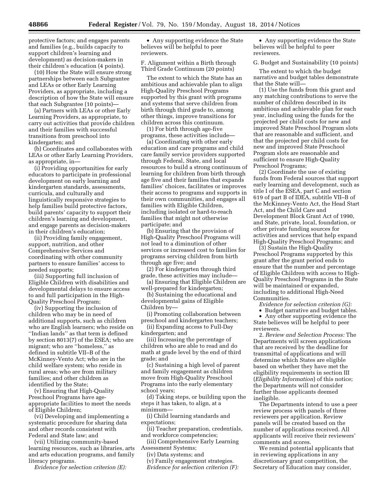protective factors; and engages parents and families (e.g., builds capacity to support children's learning and development) as decision-makers in their children's education (4 points).

(10) How the State will ensure strong partnerships between each Subgrantee and LEAs or other Early Learning Providers, as appropriate, including a description of how the State will ensure that each Subgrantee (10 points)—

(a) Partners with LEAs or other Early Learning Providers, as appropriate, to carry out activities that provide children and their families with successful transitions from preschool into kindergarten; and

(b) Coordinates and collaborates with LEAs or other Early Learning Providers, as appropriate, in—

(i) Providing opportunities for early educators to participate in professional development on early learning and kindergarten standards, assessments, curricula, and culturally and linguistically responsive strategies to help families build protective factors, build parents' capacity to support their children's learning and development, and engage parents as decision-makers in their children's education;

(ii) Providing family engagement, support, nutrition, and other Comprehensive Services and coordinating with other community partners to ensure families' access to needed supports;

(iii) Supporting full inclusion of Eligible Children with disabilities and developmental delays to ensure access to and full participation in the High-Quality Preschool Program;

(iv) Supporting the inclusion of children who may be in need of additional supports, such as children who are English learners; who reside on ''Indian lands'' as that term is defined by section 8013(7) of the ESEA; who are migrant; who are ''homeless,'' as defined in subtitle VII–B of the McKinney-Vento Act; who are in the child welfare system; who reside in rural areas; who are from military families; and other children as identified by the State;

(v) Ensuring that High-Quality Preschool Programs have ageappropriate facilities to meet the needs of Eligible Children;

(vi) Developing and implementing a systematic procedure for sharing data and other records consistent with Federal and State law; and

(vii) Utilizing community-based learning resources, such as libraries, arts and arts education programs, and family literacy programs.

*Evidence for selection criterion (E):* 

• Any supporting evidence the State believes will be helpful to peer reviewers.

F. Alignment within a Birth through Third Grade Continuum (20 points)

The extent to which the State has an ambitious and achievable plan to align High-Quality Preschool Programs supported by this grant with programs and systems that serve children from birth through third grade to, among other things, improve transitions for children across this continuum.

(1) For birth through age-five programs, these activities include—

(a) Coordinating with other early education and care programs and child care family service providers supported through Federal, State, and local resources to build a strong continuum of learning for children from birth through age five and their families that expands families' choices, facilitates or improves their access to programs and supports in their own communities, and engages all families with Eligible Children, including isolated or hard-to-reach families that might not otherwise participate; and

(b) Ensuring that the provision of High-Quality Preschool Programs will not lead to a diminution of other services or increased cost to families for programs serving children from birth through age five; and

(2) For kindergarten through third grade, these activities may include—

(a) Ensuring that Eligible Children are well-prepared for kindergarten;

(b) Sustaining the educational and developmental gains of Eligible Children by—

(i) Promoting collaboration between preschool and kindergarten teachers;

(ii) Expanding access to Full-Day kindergarten; and

(iii) Increasing the percentage of children who are able to read and do math at grade level by the end of third grade; and

(c) Sustaining a high level of parent and family engagement as children move from High-Quality Preschool Programs into the early elementary school years;

(d) Taking steps, or building upon the steps it has taken, to align, at a minimum—

(i) Child learning standards and expectations;

(ii) Teacher preparation, credentials, and workforce competencies;

(iii) Comprehensive Early Learning Assessment Systems;

(iv) Data systems; and

(v) Family engagement strategies. *Evidence for selection criterion (F):* 

• Any supporting evidence the State believes will be helpful to peer reviewers.

G. Budget and Sustainability (10 points)

The extent to which the budget narrative and budget tables demonstrate that the State will—

(1) Use the funds from this grant and any matching contributions to serve the number of children described in its ambitious and achievable plan for each year, including using the funds for the projected per child costs for new and improved State Preschool Program slots that are reasonable and sufficient, and that the projected per child costs for new and improved State Preschool Program slots are reasonable and sufficient to ensure High-Quality Preschool Programs;

(2) Coordinate the use of existing funds from Federal sources that support early learning and development, such as title I of the ESEA, part C and section 619 of part B of IDEA, subtitle VII–B of the McKinney-Vento Act, the Head Start Act, and the Child Care and Development Block Grant Act of 1990, and State, private, local, foundation, or other private funding sources for activities and services that help expand High-Quality Preschool Programs; and

(3) Sustain the High-Quality Preschool Programs supported by this grant after the grant period ends to ensure that the number and percentage of Eligible Children with access to High-Quality Preschool Programs in the State will be maintained or expanded, including to additional High-Need Communities.

*Evidence for selection criterion (G):* 

• Budget narrative and budget tables.

• Any other supporting evidence the State believes will be helpful to peer reviewers.

2. *Review and Selection Process:* The Departments will screen applications that are received by the deadline for transmittal of applications and will determine which States are eligible based on whether they have met the eligibility requirements in section III (*Eligibility Information*) of this notice; the Departments will not consider further those applicants deemed ineligible.

The Departments intend to use a peer review process with panels of three reviewers per application. Review panels will be created based on the number of applications received. All applicants will receive their reviewers' comments and scores.

We remind potential applicants that in reviewing applications in any discretionary grant competition, the Secretary of Education may consider,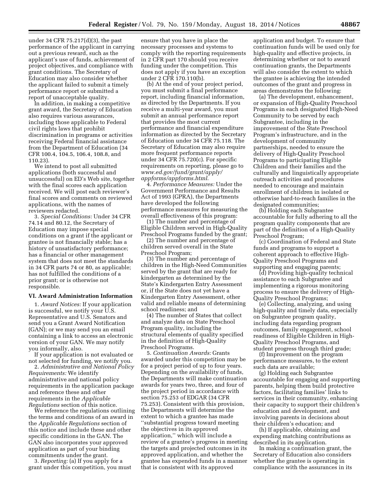under 34 CFR 75.217(d)(3), the past performance of the applicant in carrying out a previous reward, such as the applicant's use of funds, achievement of project objectives, and compliance with grant conditions. The Secretary of Education may also consider whether the applicant failed to submit a timely performance report or submitted a report of unacceptable quality.

In addition, in making a competitive grant award, the Secretary of Education also requires various assurances, including those applicable to Federal civil rights laws that prohibit discrimination in programs or activities receiving Federal financial assistance from the Department of Education (34 CFR 100.4, 104.5, 106.4, 108.8, and 110.23).

We intend to post all submitted applications (both successful and unsuccessful) on ED's Web site, together with the final scores each application received. We will post each reviewer's final scores and comments on reviewed applications, with the names of reviewers redacted.

3. *Special Conditions:* Under 34 CFR 74.14 and 80.12, the Secretary of Education may impose special conditions on a grant if the applicant or grantee is not financially stable; has a history of unsatisfactory performance; has a financial or other management system that does not meet the standards in 34 CFR parts 74 or 80, as applicable; has not fulfilled the conditions of a prior grant; or is otherwise not responsible.

# **VI. Award Administration Information**

1. *Award Notices:* If your application is successful, we notify your U.S. Representative and U.S. Senators and send you a Grant Award Notification (GAN); or we may send you an email containing a link to access an electronic version of your GAN. We may notify you informally, also.

If your application is not evaluated or not selected for funding, we notify you. 2. *Administrative and National Policy* 

*Requirements:* We identify administrative and national policy requirements in the application package and reference these and other requirements in the *Applicable Regulations* section of this notice.

We reference the regulations outlining the terms and conditions of an award in the *Applicable Regulations* section of this notice and include these and other specific conditions in the GAN. The GAN also incorporates your approved application as part of your binding commitments under the grant.

3. *Reporting:* (a) If you apply for a grant under this competition, you must

ensure that you have in place the necessary processes and systems to comply with the reporting requirements in 2 CFR part 170 should you receive funding under the competition. This does not apply if you have an exception under 2 CFR 170.110(b).

(b) At the end of your project period, you must submit a final performance report, including financial information, as directed by the Departments. If you receive a multi-year award, you must submit an annual performance report that provides the most current performance and financial expenditure information as directed by the Secretary of Education under 34 CFR 75.118. The Secretary of Education may also require more frequent performance reports under 34 CFR 75.720(c). For specific requirements on reporting, please go to *[www.ed.gov/fund/grant/apply/](http://www.ed.gov/fund/grant/apply/appforms/appforms.html) [appforms/appforms.html](http://www.ed.gov/fund/grant/apply/appforms/appforms.html)*.

4. *Performance Measures:* Under the Government Performance and Results Act of 1993 (GPRA), the Departments have developed the following performance measures for measuring the overall effectiveness of this program:

(1) The number and percentage of Eligible Children served in High-Quality Preschool Programs funded by the grant;

(2) The number and percentage of children served overall in the State Preschool Program;

(3) The number and percentage of children in the High-Need Communities served by the grant that are ready for kindergarten as determined by the State's Kindergarten Entry Assessment or, if the State does not yet have a Kindergarten Entry Assessment, other valid and reliable means of determining school readiness; and

(4) The number of States that collect and analyze data on State Preschool Program quality, including the structural elements of quality specified in the definition of High-Quality Preschool Programs.

5. *Continuation Awards:* Grants awarded under this competition may be for a project period of up to four years. Depending on the availability of funds, the Departments will make continuation awards for years two, three, and four of the project period in accordance with section 75.253 of EDGAR (34 CFR 75.253). Consistent with this provision, the Departments will determine the extent to which a grantee has made ''substantial progress toward meeting the objectives in its approved application,'' which will include a review of a grantee's progress in meeting the targets and projected outcomes in its approved application, and whether the grantee has expended funds in a manner that is consistent with its approved

application and budget. To ensure that continuation funds will be used only for high-quality and effective projects, in determining whether or not to award continuation grants, the Departments will also consider the extent to which the grantee is achieving the intended outcomes of the grant and progress in areas demonstrates the following:

(a) The development, enhancement, or expansion of High-Quality Preschool Programs in each designated High-Need Community to be served by each Subgrantee, including in the improvement of the State Preschool Program's infrastructure, and in the development of community partnerships, needed to ensure the delivery of High-Quality Preschool Programs to participating Eligible Children and their families and the culturally and linguistically appropriate outreach activities and procedures needed to encourage and maintain enrollment of children in isolated or otherwise hard-to-reach families in the designated communities;

(b) Holding each Subgrantee accountable for fully adhering to all the program quality components that are part of the definition of a High-Quality Preschool Program;

(c) Coordination of Federal and State funds and programs to support a coherent approach to effective High-Quality Preschool Programs and supporting and engaging parents;

(d) Providing high-quality technical assistance to each Subgrantee and implementing a rigorous monitoring process to ensure the delivery of High-Quality Preschool Programs;

(e) Collecting, analyzing, and using high-quality and timely data, especially on Subgrantee program quality, including data regarding program outcomes, family engagement, school readiness of Eligible Children in High-Quality Preschool Programs, and student progress through third grade;

(f) Improvement on the program performance measures, to the extent such data are available;

(g) Holding each Subgrantee accountable for engaging and supporting parents, helping them build protective factors, facilitating families' links to services in their community, enhancing their capacity to support their children's education and development, and involving parents in decisions about their children's education; and

(h) If applicable, obtaining and expending matching contributions as described in its application.

In making a continuation grant, the Secretary of Education also considers whether the grantee is operating in compliance with the assurances in its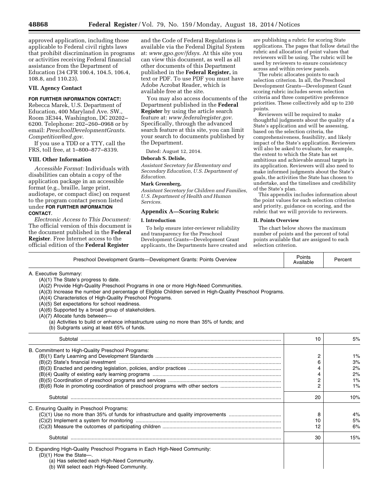approved application, including those applicable to Federal civil rights laws that prohibit discrimination in programs or activities receiving Federal financial assistance from the Department of Education (34 CFR 100.4, 104.5, 106.4, 108.8, and 110.23).

# **VII. Agency Contact**

# **FOR FURTHER INFORMATION CONTACT:**

Rebecca Marek, U.S. Department of Education, 400 Maryland Ave. SW., Room 3E344, Washington, DC 20202– 6200. Telephone: 202–260–0968 or by email: *PreschoolDevelopmentGrants. Competition@ed.gov*.

If you use a TDD or a TTY, call the FRS, toll free, at 1–800–877–8339.

# **VIII. Other Information**

*Accessible Format:* Individuals with disabilities can obtain a copy of the application package in an accessible format (e.g., braille, large print, audiotape, or compact disc) on request to the program contact person listed under **FOR FURTHER INFORMATION CONTACT**.

*Electronic Access to This Document:*  The official version of this document is the document published in the **Federal Register**. Free Internet access to the official edition of the **Federal Register** 

and the Code of Federal Regulations is available via the Federal Digital System at: *[www.gpo.gov/fdsys](http://www.gpo.gov/fdsys)*. At this site you can view this document, as well as all other documents of this Department published in the **Federal Register,** in text or PDF. To use PDF you must have Adobe Acrobat Reader, which is available free at the site.

You may also access documents of the Department published in the **Federal Register** by using the article search feature at: *[www.federalregister.gov](http://www.federalregister.gov)*. Specifically, through the advanced search feature at this site, you can limit your search to documents published by the Department.

Dated: August 12, 2014.

## **Deborah S. Delisle,**

*Assistant Secretary for Elementary and Secondary Education, U.S. Department of Education.* 

### **Mark Greenberg,**

*Assistant Secretary for Children and Families, U.S. Department of Health and Human Services.* 

# **Appendix A—Scoring Rubric**

### **I. Introduction**

To help ensure inter-reviewer reliability and transparency for the Preschool Development Grants—Development Grant applicants, the Departments have created and

are publishing a rubric for scoring State applications. The pages that follow detail the rubric and allocation of point values that reviewers will be using. The rubric will be used by reviewers to ensure consistency across and within review panels.

The rubric allocates points to each selection criterion. In all, the Preschool Development Grants—Development Grant scoring rubric includes seven selection criteria and three competitive preference priorities. These collectively add up to 230 points.

Reviewers will be required to make thoughtful judgments about the quality of a State's application and will be assessing, based on the selection criteria, the comprehensiveness, feasibility, and likely impact of the State's application. Reviewers will also be asked to evaluate, for example, the extent to which the State has set ambitious and achievable annual targets in its application. Reviewers will also need to make informed judgments about the State's goals, the activities the State has chosen to undertake, and the timelines and credibility of the State's plan.

This appendix includes information about the point values for each selection criterion and priority, guidance on scoring, and the rubric that we will provide to reviewers.

### **II. Points Overview**

The chart below shows the maximum number of points and the percent of total points available that are assigned to each selection criterion.

| Preschool Development Grants--Development Grants: Points Overview | Points<br>Available | Percent |
|-------------------------------------------------------------------|---------------------|---------|
|-------------------------------------------------------------------|---------------------|---------|

A. Executive Summary:

(A)(1) The State's progress to date.

(A)(2) Provide High-Quality Preschool Programs in one or more High-Need Communities.

(A)(3) Increase the number and percentage of Eligible Children served in High-Quality Preschool Programs.

- (A)(4) Characteristics of High-Quality Preschool Programs.
- (A)(5) Set expectations for school readiness.

(A)(6) Supported by a broad group of stakeholders.

(A)(7) Allocate funds between—

- (a) Activities to build or enhance infrastructure using no more than 35% of funds; and
- (b) Subgrants using at least 65% of funds.

# Subtotal .............................................................................................................................................. 10 5% B. Commitment to High-Quality Preschool Programs: (B)(1) Early Learning and Development Standards ......................................................................................... 2 1% (B)(2) State's financial investment ................................................................................................................... 6 3% (B)(3) Enacted and pending legislation, policies, and/or practices .................................................................. 4 2% (B)(4) Quality of existing early learning programs ........................................................................................... 4 2% (B)(5) Coordination of preschool programs and services  $\frac{1}{2}$  (B)(6) Coordination of preschool programs and services  $\frac{1}{2}$  (B)(6) Role in promoting coordination of preschool programs with other sectors  $\frac{1}{2}$  (B (B)(6) Role in promoting coordination of preschool programs with other sectors ........................................... 2 1% Subtotal ..................................................................................................................................................... 20 10% C. Ensuring Quality in Preschool Programs: (C)(1) Use no more than 35% of funds for infrastructure and quality improvements ..................................... 8 4% (C)(2) Implement a system for monitoring ....................................................................................................... 10 5% (C)(3) Measure the outcomes of participating children .................................................................................... 12 6% Subtotal ..................................................................................................................................................... 30 15% D. Expanding High-Quality Preschool Programs in Each High-Need Community:

 $(D)(1)$  How the State-

(a) Has selected each High-Need Community.

(b) Will select each High-Need Community.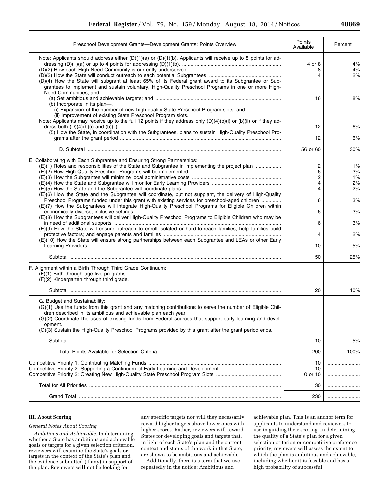| Preschool Development Grants-Development Grants: Points Overview                                                                                                                                                                                                                                                                                                                                                                               | Points<br>Available   | Percent                    |
|------------------------------------------------------------------------------------------------------------------------------------------------------------------------------------------------------------------------------------------------------------------------------------------------------------------------------------------------------------------------------------------------------------------------------------------------|-----------------------|----------------------------|
| Note: Applicants should address either $(D)(1)(a)$ or $(D)(1)(b)$ . Applicants will receive up to 8 points for ad-<br>(D)(4) How the State will subgrant at least 65% of its Federal grant award to its Subgrantee or Sub-<br>grantees to implement and sustain voluntary, High-Quality Preschool Programs in one or more High-                                                                                                                | 4 or 8<br>8<br>4      | 4%<br>4%<br>2%             |
| Need Communities, and-<br>(b) Incorporate in its plan-<br>(i) Expansion of the number of new high-quality State Preschool Program slots; and.<br>(ii) Improvement of existing State Preschool Program slots.                                                                                                                                                                                                                                   | 16                    | 8%                         |
| Note: Applicants may receive up to the full 12 points if they address only (D)(4)(b)(i) or (b)(ii) or if they ad-<br>(5) How the State, in coordination with the Subgrantees, plans to sustain High-Quality Preschool Pro-                                                                                                                                                                                                                     | 12<br>12              | 6%<br>6%                   |
|                                                                                                                                                                                                                                                                                                                                                                                                                                                |                       |                            |
|                                                                                                                                                                                                                                                                                                                                                                                                                                                | 56 or 60              | 30%                        |
| E. Collaborating with Each Subgrantee and Ensuring Strong Partnerships:<br>(E)(1) Roles and responsibilities of the State and Subgrantee in implementing the project plan                                                                                                                                                                                                                                                                      | 2<br>6<br>2<br>4<br>4 | 1%<br>3%<br>1%<br>2%<br>2% |
| (E)(6) How the State and the Subgrantee will coordinate, but not supplant, the delivery of High-Quality<br>Preschool Programs funded under this grant with existing services for preschool-aged children<br>(E)(7) How the Subgrantees will integrate High-Quality Preschool Programs for Eligible Children within                                                                                                                             | 6                     | 3%                         |
| (E)(8) How the Subgrantees will deliver High-Quality Preschool Programs to Eligible Children who may be                                                                                                                                                                                                                                                                                                                                        | 6                     | 3%                         |
| (E)(9) How the State will ensure outreach to enroll isolated or hard-to-reach families; help families build                                                                                                                                                                                                                                                                                                                                    | 6                     | 3%                         |
| (E)(10) How the State will ensure strong partnerships between each Subgrantee and LEAs or other Early                                                                                                                                                                                                                                                                                                                                          | 4<br>10               | 2%<br>5%                   |
|                                                                                                                                                                                                                                                                                                                                                                                                                                                | 50                    | 25%                        |
| F. Alignment within a Birth Through Third Grade Continuum:<br>(F)(1) Birth through age-five programs.<br>(F)(2) Kindergarten through third grade.                                                                                                                                                                                                                                                                                              |                       |                            |
|                                                                                                                                                                                                                                                                                                                                                                                                                                                | 20                    | 10%                        |
| G. Budget and Sustainability:.<br>(G)(1) Use the funds from this grant and any matching contributions to serve the number of Eligible Chil-<br>dren described in its ambitious and achievable plan each year.<br>(G)(2) Coordinate the uses of existing funds from Federal sources that support early learning and devel-<br>opment.<br>(G)(3) Sustain the High-Quality Preschool Programs provided by this grant after the grant period ends. |                       |                            |
|                                                                                                                                                                                                                                                                                                                                                                                                                                                | 10                    | 5%                         |
|                                                                                                                                                                                                                                                                                                                                                                                                                                                | 200                   | 100%                       |
|                                                                                                                                                                                                                                                                                                                                                                                                                                                | 10<br>10<br>0 or 10   |                            |
|                                                                                                                                                                                                                                                                                                                                                                                                                                                | 30                    |                            |
|                                                                                                                                                                                                                                                                                                                                                                                                                                                | 230                   |                            |

# **III. About Scoring**

# *General Notes About Scoring*

*Ambitious and Achievable.* In determining whether a State has ambitious and achievable goals or targets for a given selection criterion, reviewers will examine the State's goals or targets in the context of the State's plan and the evidence submitted (if any) in support of the plan. Reviewers will not be looking for

any specific targets nor will they necessarily reward higher targets above lower ones with higher scores. Rather, reviewers will reward States for developing goals and targets that, in light of each State's plan and the current context and status of the work in that State, are shown to be ambitious and achievable.

Additionally, there is a term that we use repeatedly in the notice: Ambitious and

achievable plan. This is an anchor term for applicants to understand and reviewers to use in guiding their scoring. In determining the quality of a State's plan for a given selection criterion or competitive preference priority, reviewers will assess the extent to which the plan is ambitious and achievable, including whether it is feasible and has a high probability of successful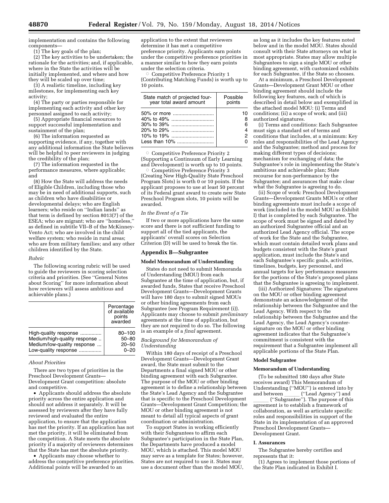implementation and contains the following components—

(1) The key goals of the plan;

(2) The key activities to be undertaken; the rationale for the activities; and, if applicable, where in the State the activities will be initially implemented, and where and how they will be scaled up over time;

(3) A realistic timeline, including key milestones, for implementing each key activity;

(4) The party or parties responsible for implementing each activity and other key personnel assigned to each activity;

(5) Appropriate financial resources to support successful implementation and sustainment of the plan;

(6) The information requested as supporting evidence, if any, together with any additional information the State believes will be helpful to peer reviewers in judging the credibility of the plan;

(7) The information requested in the performance measures, where applicable; and

(8) How the State will address the needs of Eligible Children, including those who may be in need of additional supports, such as children who have disabilities or developmental delays; who are English learners; who reside on ''Indian lands'' as that term is defined by section 8013(7) of the ESEA; who are migrant; who are "homeless, as defined in subtitle VII–B of the McKinney-Vento Act; who are involved in the child welfare system; who reside in rural areas; who are from military families; and any other children identified by the State.

### *Rubric*

The following scoring rubric will be used to guide the reviewers in scoring selection criteria and priorities. (See ''General Notes about Scoring'' for more information about how reviewers will assess ambitious and achievable plans.)

|                              | Percentage<br>of available<br>points<br>awarded |
|------------------------------|-------------------------------------------------|
| High-quality response        | 80-100                                          |
| Medium/high-quality response | $50 - 80$                                       |
| Medium/low-quality response  | $20 - 50$                                       |
| Low-quality response         | $0 - 20$                                        |

# *About Priorities*

There are two types of priorities in the Preschool Development Grants— Development Grant competition: absolute and competitive.

• Applicants should address the absolute priority across the entire application and should not address it separately. It will be assessed by reviewers after they have fully reviewed and evaluated the entire application, to ensure that the application has met the priority. If an application has not met the priority, it will be eliminated from the competition. A State meets the absolute priority if a majority of reviewers determines that the State has met the absolute priority.

• Applicants may choose whether to address the competitive preference priorities. Additional points will be awarded to an

application to the extent that reviewers determine it has met a competitive preference priority. Applicants earn points under the competitive preference priorities in a manner similar to how they earn points under the selection criteria.

O Competitive Preference Priority 1 (Contributing Matching Funds) is worth up to 10 points.

| State match of projected four-<br>year total award amount | Possible<br>points |
|-----------------------------------------------------------|--------------------|
|                                                           | 10                 |
|                                                           |                    |
|                                                           | ิค                 |
|                                                           |                    |
|                                                           |                    |
| Less than 10%                                             |                    |

Æ Competitive Preference Priority 2 (Supporting a Continuum of Early Learning and Development) is worth up to 10 points.

 $\circ$  Competitive Preference Priority 3 (Creating New High-Quality State Preschool Program Slots) is worth 0 or 10 points. If the applicant proposes to use at least 50 percent of its Federal grant award to create new State Preschool Program slots, 10 points will be awarded.

# *In the Event of a Tie*

If two or more applications have the same score and there is not sufficient funding to support all of the tied applicants, the applicants' overall scores on Selection Criterion (D) will be used to break the tie.

### **Appendix B—Subgrantee**

# **Model Memorandum of Understanding**

States do not need to submit Memoranda of Understanding (MOU) from each Subgrantee at the time of application, but, if awarded funds, States that receive Preschool Development Grants—Development Grants will have 180 days to submit signed MOUs or other binding agreements from each Subgrantee (see Program Requirement (i)). Applicants may choose to submit *preliminary*  agreements at the time of application, but they are not required to do so. The following is an example of a *final* agreement.

### *Background for Memorandum of Understanding*

Within 180 days of receipt of a Preschool Development Grants—Development Grant award, the State must submit to the Departments a final signed MOU or other binding agreement with each Subgrantee. The purpose of the MOU or other binding agreement is to define a relationship between the State's Lead Agency and the Subgrantee that is specific to the Preschool Development Grants—Development Grant Competition; the MOU or other binding agreement is not meant to detail all typical aspects of grant coordination or administration.

To support States in working efficiently with their Subgrantees to affirm each Subgrantee's participation in the State Plan, the Departments have produced a model MOU, which is attached. This model MOU may serve as a template for States; however, States are not required to use it. States may use a document other than the model MOU,

as long as it includes the key features noted below and in the model MOU. States should consult with their State attorneys on what is most appropriate. States may allow multiple Subgrantees to sign a single MOU or other binding agreement, with customized exhibits for each Subgrantee, if the State so chooses.

At a minimum, a Preschool Development Grants—Development Grant MOU or other binding agreement should include the following key features, each of which is described in detail below and exemplified in the attached model MOU: (i) Terms and conditions; (ii) a scope of work; and (iii) authorized signatures.

(i) Terms and conditions: Each Subgrantee must sign a standard set of terms and conditions that includes, at a minimum: Key roles and responsibilities of the Lead Agency and the Subgrantee; method and process for making different types of decisions; mechanism for exchanging of data; the Subgrantee's role in implementing the State's ambitious and achievable plan; State recourse for non-performance by the Subgrantee; and assurances that make clear what the Subgrantee is agreeing to do.

(ii) Scope of work: Preschool Development Grants—Development Grants MOUs or other binding agreements must include a scope of work (included in the model MOU as Exhibit I) that is completed by each Subgrantee. The scope of work must be signed and dated by an authorized Subgrantee official and an authorized Lead Agency official. The scope of work for the State and the Subgrantee, which must contain detailed work plans and budgets consistent with the State's grant application, must include the State's and each Subgrantee's specific goals, activities, timelines, budgets, key personnel, and annual targets for key performance measures for the portions of the State's proposed plans that the Subgrantee is agreeing to implement.

(iii) Authorized Signatures: The signatures on the MOU or other binding agreement demonstrate an acknowledgement of the relationship between the Subgrantee and the Lead Agency. With respect to the relationship between the Subgrantee and the Lead Agency, the Lead Agency's countersignature on the MOU or other binding agreement indicates that the Subgrantee's commitment is consistent with the requirement that a Subgrantee implement all applicable portions of the State Plan.

### **Model Subgrantee**

### **Memorandum of Understanding**

(To be submitted 180 days after State receives award) This Memorandum of Understanding ("MOU") is entered into by<br>and between ("Lead Agency") and and between \_\_\_\_\_ ("Lead Agency") and<br>("Subgrantee"), The nurnose of thi

 $\frac{1}{\text{logramet}}$  ("Subgrantee"). The purpose of this agreement is to establish a framework of collaboration, as well as articulate specific roles and responsibilities in support of the State in its implementation of an approved Preschool Development Grants— Development Grant.

### **I. Assurances**

The Subgrantee hereby certifies and represents that it:

(1) Agrees to implement those portions of the State Plan indicated in Exhibit I.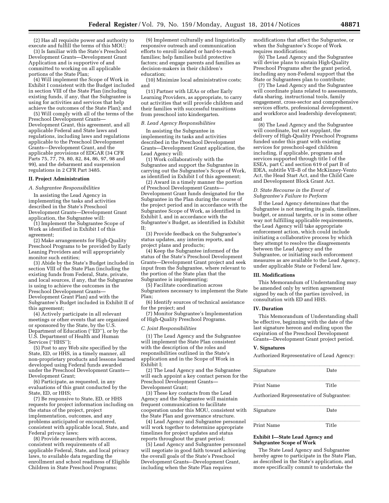(2) Has all requisite power and authority to execute and fulfill the terms of this MOU;

(3) Is familiar with the State's Preschool Development Grants—Development Grant Application and is supportive of and committed to working on all applicable portions of the State Plan;

(4) Will implement the Scope of Work in Exhibit I consistent with the Budget included in section VIII of the State Plan (including existing funds, if any, that the Subgrantee is using for activities and services that help achieve the outcomes of the State Plan); and

(5) Will comply with all of the terms of the Preschool Development Grants— Development Grant, this agreement, and all applicable Federal and State laws and regulations, including laws and regulations applicable to the Preschool Development Grants—Development Grant, and the applicable provisions of EDGAR (34 CFR Parts 75, 77, 79, 80, 82, 84, 86, 97, 98 and 99), and the debarment and suspension regulations in 2 CFR Part 3485.

### **II. Project Administration**

# *A. Subgrantee Responsibilities*

In assisting the Lead Agency in implementing the tasks and activities described in the State's Preschool Development Grants—Development Grant application, the Subgrantee will:

(1) Implement the Subgrantee Scope of Work as identified in Exhibit I of this agreement;

(2) Make arrangements for High-Quality Preschool Programs to be provided by Early Leaning Providers and will appropriately monitor such entities;

(3) Abide by the State's Budget included in section VIII of the State Plan (including the existing funds from Federal, State, private, and local sources, if any, that the Subgrantee is using to achieve the outcomes in the Preschool Development Grants— Development Grant Plan) and with the Subgrantee's Budget included in Exhibit II of this agreement;

(4) Actively participate in all relevant meetings or other events that are organized or sponsored by the State, by the U.S. Department of Education (''ED''), or by the U.S. Department of Health and Human Services ("HHS");

(5) Post to any Web site specified by the State, ED, or HHS, in a timely manner, all non-proprietary products and lessons learned developed using Federal funds awarded under the Preschool Development Grants— Development Grant;

(6) Participate, as requested, in any evaluations of this grant conducted by the State, ED, or HHS;

(7) Be responsive to State, ED, or HHS requests for project information including on the status of the project, project implementation, outcomes, and any problems anticipated or encountered, consistent with applicable local, State, and Federal privacy laws;

(8) Provide researchers with access, consistent with requirements of all applicable Federal, State, and local privacy laws, to available data regarding the enrollment and school readiness of Eligible Children in State Preschool Programs;

(9) Implement culturally and linguistically responsive outreach and communication efforts to enroll isolated or hard-to-reach families; help families build protective factors; and engage parents and families as decision-makers in their children's education;

(10) Minimize local administrative costs; and

(11) Partner with LEAs or other Early Learning Providers, as appropriate, to carry out activities that will provide children and their families with successful transitions from preschool into kindergarten.

### *B. Lead Agency Responsibilities*

In assisting the Subgrantee in implementing its tasks and activities described in the Preschool Development Grants—Development Grant application, the Lead Agency will:

(1) Work collaboratively with the Subgrantee and support the Subgrantee in carrying out the Subgrantee's Scope of Work, as identified in Exhibit I of this agreement;

(2) Award in a timely manner the portion of Preschool Development Grants— Development Grant funds designated for the Subgrantee in the Plan during the course of the project period and in accordance with the Subgrantee Scope of Work, as identified in Exhibit I, and in accordance with the Subgrantee's Budget, as identified in Exhibit II;

(3) Provide feedback on the Subgrantee's status updates, any interim reports, and project plans and products;

(4) Keep the Subgrantee informed of the status of the State's Preschool Development Grants—Development Grant project and seek input from the Subgrantee, where relevant to the portion of the State plan that the Subgrantee is implementing;

(5) Facilitate coordination across

Subgrantees necessary to implement the State Plan;

(6) Identify sources of technical assistance for the project; and

(7) Monitor Subgrantee's Implementation of High-Quality Preschool Programs.

### *C. Joint Responsibilities*

(1) The Lead Agency and the Subgrantee will implement the State Plan consistent with the description of the roles and responsibilities outlined in the State's application and in the Scope of Work in Exhibit I;

(2) The Lead Agency and the Subgrantee will each appoint a key contact person for the Preschool Development Grants— Development Grant;

(3) These key contacts from the Lead Agency and the Subgrantee will maintain frequent communication to facilitate cooperation under this MOU, consistent with the State Plan and governance structure.

(4) Lead Agency and Subgrantee personnel will work together to determine appropriate timelines for project updates and status reports throughout the grant period;

(5) Lead Agency and Subgrantee personnel will negotiate in good faith toward achieving the overall goals of the State's Preschool Development Grants–-Development Grant, including when the State Plan requires

modifications that affect the Subgrantee, or when the Subgrantee's Scope of Work requires modifications;

(6) The Lead Agency and the Subgrantee will devise plans to sustain High-Quality Preschool Programs after the grant period, including any non-Federal support that the State or Subgrantees plan to contribute;

(7) The Lead Agency and the Subgrantee will coordinate plans related to assessments, data sharing, instructional tools, family engagement, cross-sector and comprehensive services efforts, professional development, and workforce and leadership development; and

(8) The Lead Agency and the Subgrantee will coordinate, but not supplant, the delivery of High-Quality Preschool Programs funded under this grant with existing services for preschool-aged children including, if applicable, programs and services supported through title I of the ESEA, part C and section 619 of part B of IDEA, subtitle VII–B of the McKinney-Vento Act, the Head Start Act, and the Child Care and Development Block Grant Act.

# *D. State Recourse in the Event of Subgrantee's Failure to Perform*

If the Lead Agency determines that the Subgrantee is not meeting its goals, timelines, budget, or annual targets, or is in some other way not fulfilling applicable requirements, the Lead Agency will take appropriate enforcement action, which could include initiating a collaborative process by which they attempt to resolve the disagreements between the Lead Agency and the Subgrantee, or initiating such enforcement measures as are available to the Lead Agency, under applicable State or Federal law.

# **III. Modifications**

This Memorandum of Understanding may be amended only by written agreement signed by each of the parties involved, in consultation with ED and HHS.

### **IV. Duration**

This Memorandum of Understanding shall be effective, beginning with the date of the last signature hereon and ending upon the expiration of the Preschool Development Grants–-Development Grant project period.

### **V. Signatures**

Authorized Representative of Lead Agency:

| Signature  | Date  |  |
|------------|-------|--|
| Print Name | Title |  |
|            |       |  |

Authorized Representative of Subgrantee:

| Signature  | Date  |  |
|------------|-------|--|
| Print Name | Title |  |

### **Exhibit I—State Lead Agency and Subgrantee Scope of Work**

The State Lead Agency and Subgrantee hereby agree to participate in the State Plan, as described in the State's application, and more specifically commit to undertake the